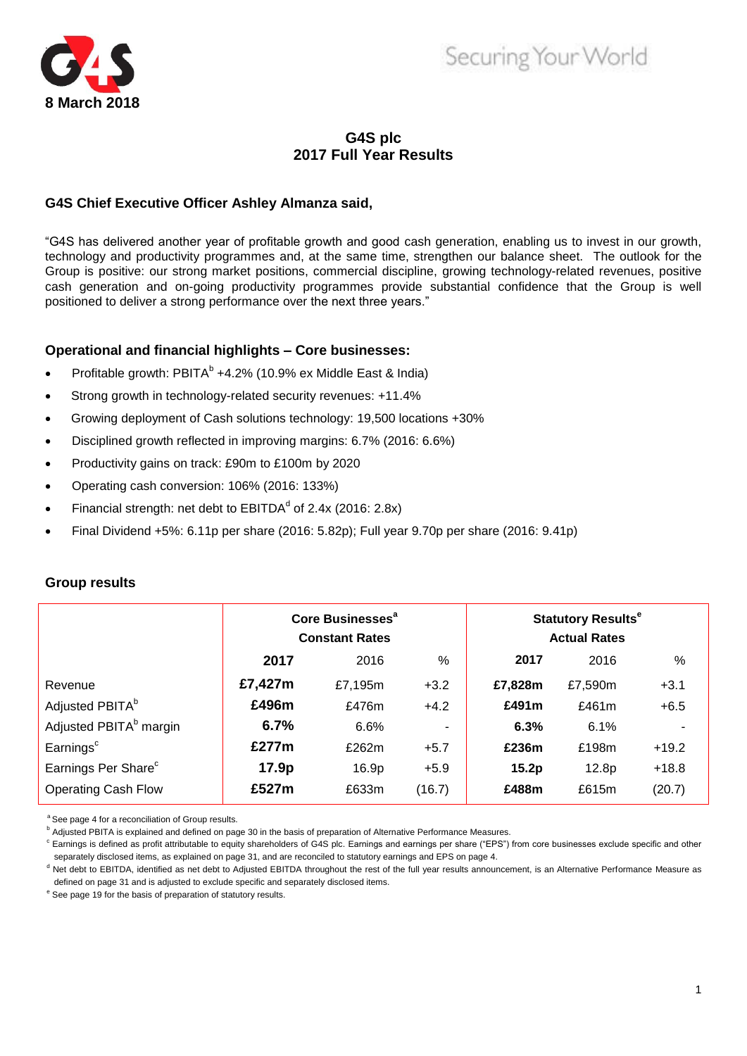

# Securing Your World

# **G4S plc 2017 Full Year Results**

# **G4S Chief Executive Officer Ashley Almanza said,**

"G4S has delivered another year of profitable growth and good cash generation, enabling us to invest in our growth, technology and productivity programmes and, at the same time, strengthen our balance sheet. The outlook for the Group is positive: our strong market positions, commercial discipline, growing technology-related revenues, positive cash generation and on-going productivity programmes provide substantial confidence that the Group is well positioned to deliver a strong performance over the next three years."

# **Operational and financial highlights – Core businesses:**

- Profitable growth:  $PBITA<sup>b</sup> +4.2%$  (10.9% ex Middle East & India)
- Strong growth in technology-related security revenues: +11.4%
- Growing deployment of Cash solutions technology: 19,500 locations +30%
- Disciplined growth reflected in improving margins: 6.7% (2016: 6.6%)
- Productivity gains on track: £90m to £100m by 2020
- Operating cash conversion: 106% (2016: 133%)
- Financial strength: net debt to  $EBITDA<sup>d</sup>$  of 2.4x (2016: 2.8x)
- Final Dividend +5%: 6.11p per share (2016: 5.82p); Full year 9.70p per share (2016: 9.41p)

|                                    |         | Core Businesses <sup>a</sup><br><b>Constant Rates</b> |        | <b>Statutory Results<sup>e</sup></b><br><b>Actual Rates</b> |          |         |
|------------------------------------|---------|-------------------------------------------------------|--------|-------------------------------------------------------------|----------|---------|
|                                    | 2017    | 2016                                                  | $\%$   | 2017                                                        | 2016     | %       |
| Revenue                            | £7,427m | £7,195m                                               | $+3.2$ | £7,828m                                                     | £7,590m  | $+3.1$  |
| Adjusted PBITA <sup>b</sup>        | £496m   | £476m                                                 | $+4.2$ | £491m                                                       | £461 $m$ | $+6.5$  |
| Adjusted PBITA <sup>b</sup> margin | 6.7%    | 6.6%                                                  | ۰      | 6.3%                                                        | 6.1%     |         |
| Earnings <sup>c</sup>              | £277m   | £262m                                                 | $+5.7$ | £236m                                                       | £198m    | $+19.2$ |
| Earnings Per Share <sup>c</sup>    | 17.9p   | 16.9p                                                 | $+5.9$ | 15.2p                                                       | 12.8p    | $+18.8$ |
| <b>Operating Cash Flow</b>         | £527m   | £633m                                                 | (16.7) | £488m                                                       | £615m    | (20.7)  |

# **Group results**

<sup>a</sup> See page 4 for a reconciliation of Group results.

**b** Adjusted PBITA is explained and defined on page 30 in the basis of preparation of Alternative Performance Measures.

<sup>c</sup> Earnings is defined as profit attributable to equity shareholders of G4S plc. Earnings and earnings per share ("EPS") from core businesses exclude specific and other separately disclosed items, as explained on page 31, and are reconciled to statutory earnings and EPS on page 4.

<sup>d</sup> Net debt to EBITDA, identified as net debt to Adjusted EBITDA throughout the rest of the full year results announcement, is an Alternative Performance Measure as defined on page 31 and is adjusted to exclude specific and separately disclosed items.

<sup>e</sup> See page 19 for the basis of preparation of statutory results.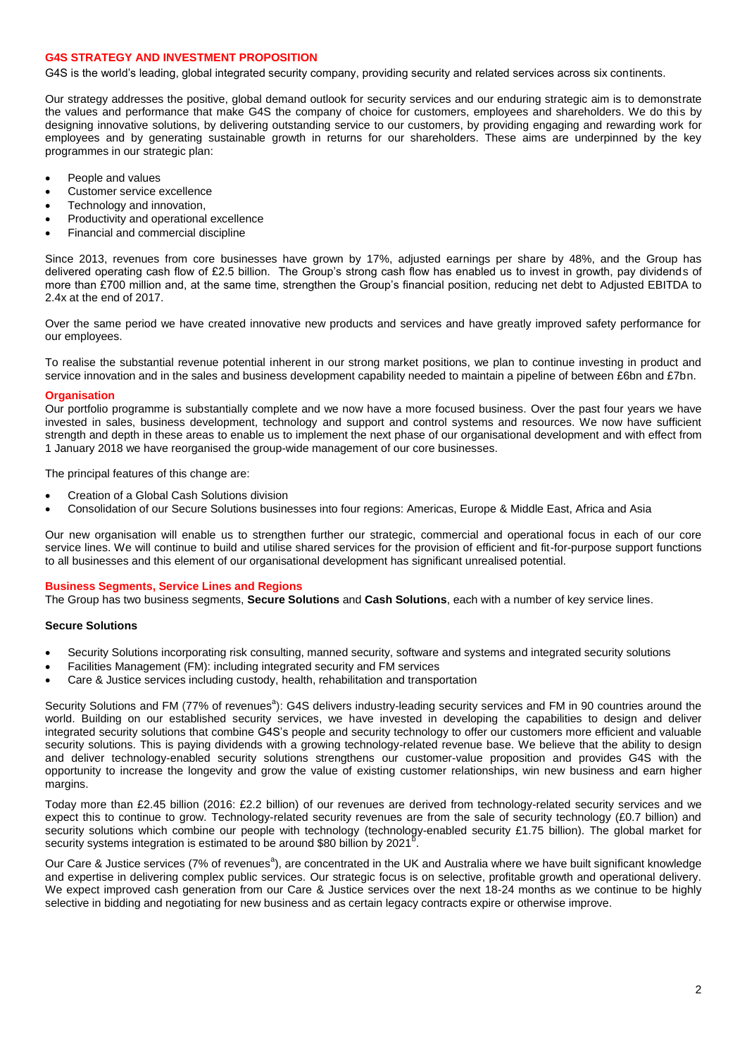### **G4S STRATEGY AND INVESTMENT PROPOSITION**

G4S is the world"s leading, global integrated security company, providing security and related services across six continents.

Our strategy addresses the positive, global demand outlook for security services and our enduring strategic aim is to demonstrate the values and performance that make G4S the company of choice for customers, employees and shareholders. We do this by designing innovative solutions, by delivering outstanding service to our customers, by providing engaging and rewarding work for employees and by generating sustainable growth in returns for our shareholders. These aims are underpinned by the key programmes in our strategic plan:

- People and values
- Customer service excellence
- Technology and innovation,
- Productivity and operational excellence
- Financial and commercial discipline

Since 2013, revenues from core businesses have grown by 17%, adjusted earnings per share by 48%, and the Group has delivered operating cash flow of £2.5 billion. The Group"s strong cash flow has enabled us to invest in growth, pay dividends of more than £700 million and, at the same time, strengthen the Group"s financial position, reducing net debt to Adjusted EBITDA to 2.4x at the end of 2017.

Over the same period we have created innovative new products and services and have greatly improved safety performance for our employees.

To realise the substantial revenue potential inherent in our strong market positions, we plan to continue investing in product and service innovation and in the sales and business development capability needed to maintain a pipeline of between £6bn and £7bn.

### **Organisation**

Our portfolio programme is substantially complete and we now have a more focused business. Over the past four years we have invested in sales, business development, technology and support and control systems and resources. We now have sufficient strength and depth in these areas to enable us to implement the next phase of our organisational development and with effect from 1 January 2018 we have reorganised the group-wide management of our core businesses.

The principal features of this change are:

- Creation of a Global Cash Solutions division
- Consolidation of our Secure Solutions businesses into four regions: Americas, Europe & Middle East, Africa and Asia

Our new organisation will enable us to strengthen further our strategic, commercial and operational focus in each of our core service lines. We will continue to build and utilise shared services for the provision of efficient and fit-for-purpose support functions to all businesses and this element of our organisational development has significant unrealised potential.

### **Business Segments, Service Lines and Regions**

The Group has two business segments, **Secure Solutions** and **Cash Solutions**, each with a number of key service lines.

### **Secure Solutions**

- Security Solutions incorporating risk consulting, manned security, software and systems and integrated security solutions
- Facilities Management (FM): including integrated security and FM services
- Care & Justice services including custody, health, rehabilitation and transportation

Security Solutions and FM (77% of revenues<sup>a</sup>): G4S delivers industry-leading security services and FM in 90 countries around the world. Building on our established security services, we have invested in developing the capabilities to design and deliver integrated security solutions that combine G4S"s people and security technology to offer our customers more efficient and valuable security solutions. This is paying dividends with a growing technology-related revenue base. We believe that the ability to design and deliver technology-enabled security solutions strengthens our customer-value proposition and provides G4S with the opportunity to increase the longevity and grow the value of existing customer relationships, win new business and earn higher margins.

Today more than £2.45 billion (2016: £2.2 billion) of our revenues are derived from technology-related security services and we expect this to continue to grow. Technology-related security revenues are from the sale of security technology (£0.7 billion) and security solutions which combine our people with technology (technology-enabled security £1.75 billion). The global market for security systems integration is estimated to be around \$80 billion by 2021 .

Our Care & Justice services (7% of revenues<sup>a</sup>), are concentrated in the UK and Australia where we have built significant knowledge and expertise in delivering complex public services. Our strategic focus is on selective, profitable growth and operational delivery. We expect improved cash generation from our Care & Justice services over the next 18-24 months as we continue to be highly selective in bidding and negotiating for new business and as certain legacy contracts expire or otherwise improve.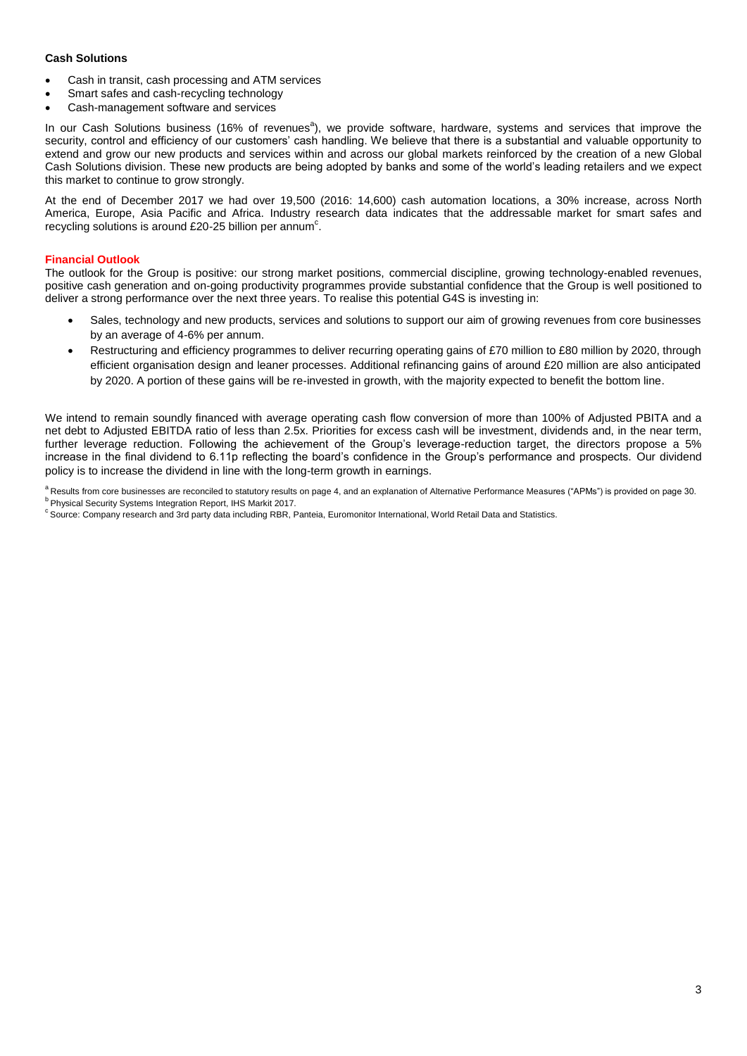### **Cash Solutions**

- Cash in transit, cash processing and ATM services
- Smart safes and cash-recycling technology
- Cash-management software and services

In our Cash Solutions business (16% of revenues<sup>a</sup>), we provide software, hardware, systems and services that improve the security, control and efficiency of our customers' cash handling. We believe that there is a substantial and valuable opportunity to extend and grow our new products and services within and across our global markets reinforced by the creation of a new Global Cash Solutions division. These new products are being adopted by banks and some of the world"s leading retailers and we expect this market to continue to grow strongly.

At the end of December 2017 we had over 19,500 (2016: 14,600) cash automation locations, a 30% increase, across North America, Europe, Asia Pacific and Africa. Industry research data indicates that the addressable market for smart safes and recycling solutions is around £20-25 billion per annum<sup>c</sup>.

### **Financial Outlook**

The outlook for the Group is positive: our strong market positions, commercial discipline, growing technology-enabled revenues, positive cash generation and on-going productivity programmes provide substantial confidence that the Group is well positioned to deliver a strong performance over the next three years. To realise this potential G4S is investing in:

- Sales, technology and new products, services and solutions to support our aim of growing revenues from core businesses by an average of 4-6% per annum.
- Restructuring and efficiency programmes to deliver recurring operating gains of £70 million to £80 million by 2020, through efficient organisation design and leaner processes. Additional refinancing gains of around £20 million are also anticipated by 2020. A portion of these gains will be re-invested in growth, with the majority expected to benefit the bottom line.

We intend to remain soundly financed with average operating cash flow conversion of more than 100% of Adjusted PBITA and a net debt to Adjusted EBITDA ratio of less than 2.5x. Priorities for excess cash will be investment, dividends and, in the near term, further leverage reduction. Following the achievement of the Group's leverage-reduction target, the directors propose a 5% increase in the final dividend to 6.11p reflecting the board's confidence in the Group's performance and prospects. Our dividend policy is to increase the dividend in line with the long-term growth in earnings.

<sup>a</sup> Results from core businesses are reconciled to statutory results on page 4, and an explanation of Alternative Performance Measures ("APMs") is provided on page 30. **b** Physical Security Systems Integration Report, IHS Markit 2017.

<sup>c</sup> Source: Company research and 3rd party data including RBR, Panteia, Euromonitor International, World Retail Data and Statistics.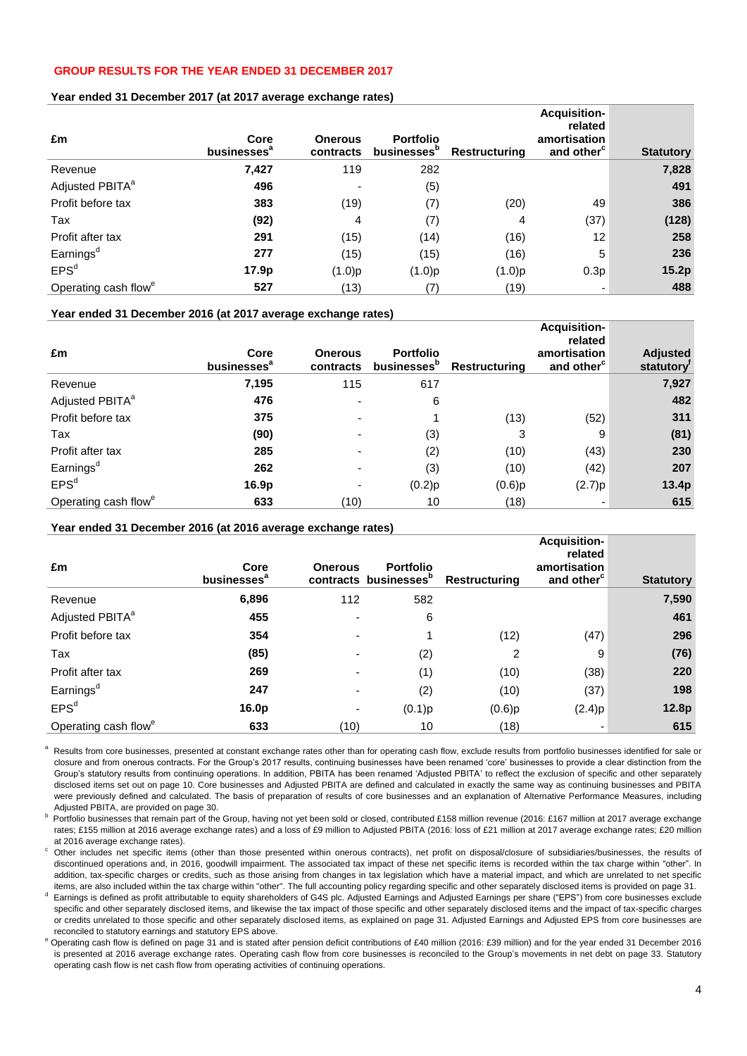# **GROUP RESULTS FOR THE YEAR ENDED 31 DECEMBER 2017**

### **Year ended 31 December 2017 (at 2017 average exchange rates)**

| £m                               | Core<br>businesses <sup>a</sup> | <b>Onerous</b><br>contracts | <b>Portfolio</b><br>businesses <sup>b</sup> | <b>Restructuring</b> | <b>Acquisition-</b><br>related<br>amortisation<br>and other <sup>c</sup> | <b>Statutory</b> |
|----------------------------------|---------------------------------|-----------------------------|---------------------------------------------|----------------------|--------------------------------------------------------------------------|------------------|
| Revenue                          | 7,427                           | 119                         | 282                                         |                      |                                                                          | 7,828            |
| Adjusted PBITA <sup>a</sup>      | 496                             |                             | (5)                                         |                      |                                                                          | 491              |
| Profit before tax                | 383                             | (19)                        | (7)                                         | (20)                 | 49                                                                       | 386              |
| Tax                              | (92)                            | 4                           | (7)                                         | 4                    | (37)                                                                     | (128)            |
| Profit after tax                 | 291                             | (15)                        | (14)                                        | (16)                 | 12                                                                       | 258              |
| Earnings <sup>d</sup>            | 277                             | (15)                        | (15)                                        | (16)                 | 5                                                                        | 236              |
| EPS <sup>d</sup>                 | 17.9 <sub>p</sub>               | (1.0)p                      | (1.0)p                                      | (1.0)p               | 0.3p                                                                     | 15.2p            |
| Operating cash flow <sup>e</sup> | 527                             | (13)                        | (7)                                         | (19)                 | ٠                                                                        | 488              |

### **Year ended 31 December 2016 (at 2017 average exchange rates)**

| £m                               | Core<br>businesses <sup>a</sup> | <b>Onerous</b><br>contracts | <b>Portfolio</b><br>businesses <sup>b</sup> | <b>Restructuring</b> | <b>Acquisition-</b><br>related<br>amortisation<br>and other <sup>c</sup> | <b>Adjusted</b><br>statutory <sup>'</sup> |
|----------------------------------|---------------------------------|-----------------------------|---------------------------------------------|----------------------|--------------------------------------------------------------------------|-------------------------------------------|
| Revenue                          | 7,195                           | 115                         | 617                                         |                      |                                                                          | 7,927                                     |
| Adjusted PBITA <sup>a</sup>      | 476                             |                             | 6                                           |                      |                                                                          | 482                                       |
| Profit before tax                | 375                             |                             |                                             | (13)                 | (52)                                                                     | 311                                       |
| Tax                              | (90)                            |                             | (3)                                         | 3                    | 9                                                                        | (81)                                      |
| Profit after tax                 | 285                             |                             | (2)                                         | (10)                 | (43)                                                                     | 230                                       |
| Earnings <sup>d</sup>            | 262                             |                             | (3)                                         | (10)                 | (42)                                                                     | 207                                       |
| EPS <sup>d</sup>                 | 16.9p                           |                             | (0.2)p                                      | (0.6)p               | (2.7)p                                                                   | 13.4p                                     |
| Operating cash flow <sup>e</sup> | 633                             | (10)                        | 10                                          | (18)                 |                                                                          | 615                                       |

### **Year ended 31 December 2016 (at 2016 average exchange rates)**

| £m                               | Core<br>businesses <sup>a</sup> | <b>Onerous</b> | <b>Portfolio</b><br>contracts businesses <sup>b</sup> | <b>Restructuring</b> | Acquisition-<br>related<br>amortisation<br>and other <sup>c</sup> | <b>Statutory</b> |
|----------------------------------|---------------------------------|----------------|-------------------------------------------------------|----------------------|-------------------------------------------------------------------|------------------|
| Revenue                          | 6,896                           | 112            | 582                                                   |                      |                                                                   | 7,590            |
| Adjusted PBITA <sup>a</sup>      | 455                             |                | 6                                                     |                      |                                                                   | 461              |
| Profit before tax                | 354                             |                |                                                       | (12)                 | (47)                                                              | 296              |
| Tax                              | (85)                            |                | (2)                                                   | 2                    | 9                                                                 | (76)             |
| Profit after tax                 | 269                             |                | (1)                                                   | (10)                 | (38)                                                              | 220              |
| Earnings <sup>d</sup>            | 247                             |                | (2)                                                   | (10)                 | (37)                                                              | 198              |
| EPS <sup>d</sup>                 | 16.0p                           |                | (0.1)p                                                | $(0.6)$ p            | (2.4)p                                                            | 12.8p            |
| Operating cash flow <sup>e</sup> | 633                             | (10)           | 10                                                    | (18)                 |                                                                   | 615              |

<sup>a</sup> Results from core businesses, presented at constant exchange rates other than for operating cash flow, exclude results from portfolio businesses identified for sale or closure and from onerous contracts. For the Group"s 2017 results, continuing businesses have been renamed "core" businesses to provide a clear distinction from the Group"s statutory results from continuing operations. In addition, PBITA has been renamed "Adjusted PBITA" to reflect the exclusion of specific and other separately disclosed items set out on page 10. Core businesses and Adjusted PBITA are defined and calculated in exactly the same way as continuing businesses and PBITA were previously defined and calculated. The basis of preparation of results of core businesses and an explanation of Alternative Performance Measures, including Adjusted PBITA, are provided on page 30.

b Portfolio businesses that remain part of the Group, having not yet been sold or closed, contributed £158 million revenue (2016: £167 million at 2017 average exchange rates; £155 million at 2016 average exchange rates) and a loss of £9 million to Adjusted PBITA (2016: loss of £21 million at 2017 average exchange rates; £20 million at 2016 average exchange rates).

<sup>c</sup>Other includes net specific items (other than those presented within onerous contracts), net profit on disposal/closure of subsidiaries/businesses, the results of discontinued operations and, in 2016, goodwill impairment. The associated tax impact of these net specific items is recorded within the tax charge within "other". In addition, tax-specific charges or credits, such as those arising from changes in tax legislation which have a material impact, and which are unrelated to net specific items, are also included within the tax charge within "other". The full accounting policy regarding specific and other separately disclosed items is provided on page 31.

d Earnings is defined as profit attributable to equity shareholders of G4S plc. Adjusted Earnings and Adjusted Earnings per share ("EPS") from core businesses exclude specific and other separately disclosed items, and likewise the tax impact of those specific and other separately disclosed items and the impact of tax-specific charges or credits unrelated to those specific and other separately disclosed items, as explained on page 31. Adjusted Earnings and Adjusted EPS from core businesses are reconciled to statutory earnings and statutory EPS above.

<sup>e</sup> Operating cash flow is defined on page 31 and is stated after pension deficit contributions of £40 million (2016: £39 million) and for the year ended 31 December 2016 is presented at 2016 average exchange rates. Operating cash flow from core businesses is reconciled to the Group's movements in net debt on page 33. Statutory operating cash flow is net cash flow from operating activities of continuing operations.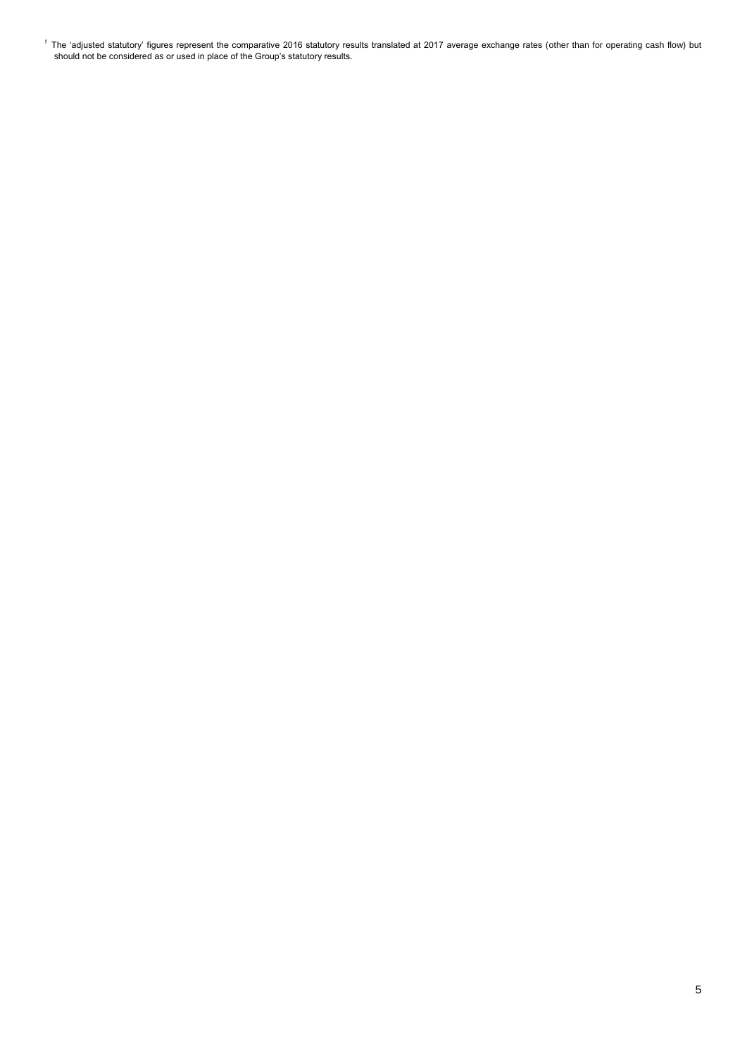$^{\mathfrak{f}}$  The 'adjusted statutory' figures represent the comparative 2016 statutory results translated at 2017 average exchange rates (other than for operating cash flow) but should not be considered as or used in place of the Group"s statutory results.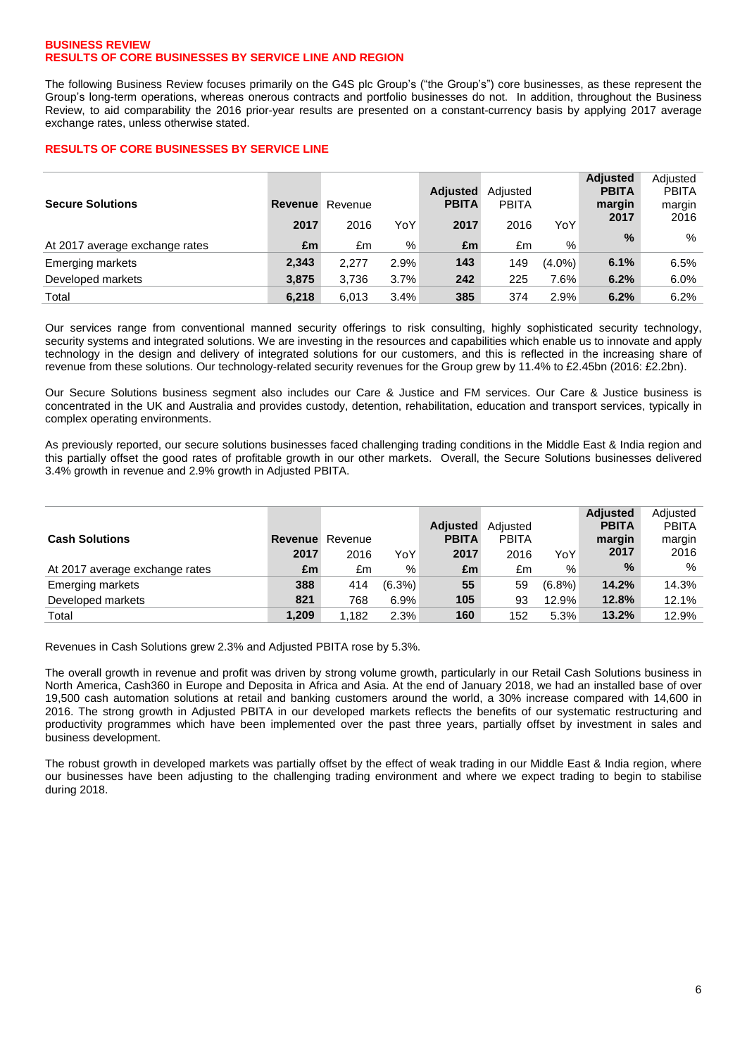### **BUSINESS REVIEW RESULTS OF CORE BUSINESSES BY SERVICE LINE AND REGION**

The following Business Review focuses primarily on the G4S plc Group's ("the Group's") core businesses, as these represent the Group"s long-term operations, whereas onerous contracts and portfolio businesses do not. In addition, throughout the Business Review, to aid comparability the 2016 prior-year results are presented on a constant-currency basis by applying 2017 average exchange rates, unless otherwise stated.

# **RESULTS OF CORE BUSINESSES BY SERVICE LINE**

| <b>Secure Solutions</b>        | <b>Revenue</b> Revenue |       |      | <b>Adjusted</b><br><b>PBITA</b> | Adiusted<br><b>PBITA</b> |           | <b>Adjusted</b><br><b>PBITA</b><br>margin | Adjusted<br><b>PBITA</b><br>margin |
|--------------------------------|------------------------|-------|------|---------------------------------|--------------------------|-----------|-------------------------------------------|------------------------------------|
|                                | 2017                   | 2016  | YoY  | 2017                            | 2016                     | YoY       | 2017                                      | 2016                               |
| At 2017 average exchange rates | £m                     | £m    | %    | £m                              | £m                       | %         | $\%$                                      | %                                  |
| <b>Emerging markets</b>        | 2,343                  | 2.277 | 2.9% | 143                             | 149                      | $(4.0\%)$ | 6.1%                                      | 6.5%                               |
| Developed markets              | 3.875                  | 3,736 | 3.7% | 242                             | 225                      | 7.6%      | 6.2%                                      | 6.0%                               |
| Total                          | 6.218                  | 6,013 | 3.4% | 385                             | 374                      | 2.9%      | 6.2%                                      | 6.2%                               |

Our services range from conventional manned security offerings to risk consulting, highly sophisticated security technology, security systems and integrated solutions. We are investing in the resources and capabilities which enable us to innovate and apply technology in the design and delivery of integrated solutions for our customers, and this is reflected in the increasing share of revenue from these solutions. Our technology-related security revenues for the Group grew by 11.4% to £2.45bn (2016: £2.2bn).

Our Secure Solutions business segment also includes our Care & Justice and FM services. Our Care & Justice business is concentrated in the UK and Australia and provides custody, detention, rehabilitation, education and transport services, typically in complex operating environments.

As previously reported, our secure solutions businesses faced challenging trading conditions in the Middle East & India region and this partially offset the good rates of profitable growth in our other markets. Overall, the Secure Solutions businesses delivered 3.4% growth in revenue and 2.9% growth in Adjusted PBITA.

|                                |                        |       |           |                 |              |           | <b>Adjusted</b> | Adiusted     |
|--------------------------------|------------------------|-------|-----------|-----------------|--------------|-----------|-----------------|--------------|
|                                |                        |       |           | <b>Adjusted</b> | Adiusted     |           | <b>PBITA</b>    | <b>PBITA</b> |
| <b>Cash Solutions</b>          | <b>Revenue</b> Revenue |       |           | <b>PBITA</b>    | <b>PBITA</b> |           | margin          | margin       |
|                                | 2017                   | 2016  | YoY       | 2017            | 2016         | YoY       | 2017            | 2016         |
| At 2017 average exchange rates | £m                     | £m    | %         | £m              | £m           | %         | $\%$            | %            |
| Emerging markets               | 388                    | 414   | $(6.3\%)$ | 55              | 59           | $(6.8\%)$ | 14.2%           | 14.3%        |
| Developed markets              | 821                    | 768   | 6.9%      | 105             | 93           | 12.9%     | 12.8%           | 12.1%        |
| Total                          | 1.209                  | 1.182 | 2.3%      | 160             | 152          | 5.3%      | 13.2%           | 12.9%        |

Revenues in Cash Solutions grew 2.3% and Adjusted PBITA rose by 5.3%.

The overall growth in revenue and profit was driven by strong volume growth, particularly in our Retail Cash Solutions business in North America, Cash360 in Europe and Deposita in Africa and Asia. At the end of January 2018, we had an installed base of over 19,500 cash automation solutions at retail and banking customers around the world, a 30% increase compared with 14,600 in 2016. The strong growth in Adjusted PBITA in our developed markets reflects the benefits of our systematic restructuring and productivity programmes which have been implemented over the past three years, partially offset by investment in sales and business development.

The robust growth in developed markets was partially offset by the effect of weak trading in our Middle East & India region, where our businesses have been adjusting to the challenging trading environment and where we expect trading to begin to stabilise during 2018.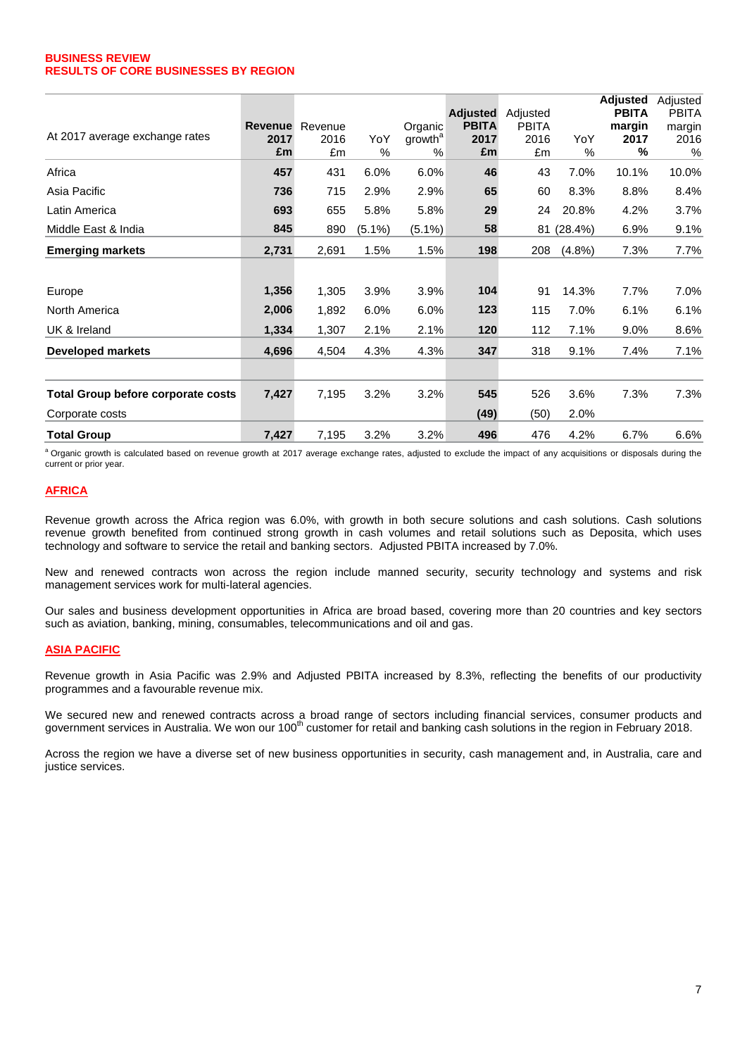### **BUSINESS REVIEW RESULTS OF CORE BUSINESSES BY REGION**

|                                    |                |         |           |                     |                 |              |            | <b>Adjusted</b> | Adjusted     |
|------------------------------------|----------------|---------|-----------|---------------------|-----------------|--------------|------------|-----------------|--------------|
|                                    |                |         |           |                     | <b>Adjusted</b> | Adjusted     |            | <b>PBITA</b>    | <b>PBITA</b> |
|                                    | <b>Revenue</b> | Revenue |           | Organic             | <b>PBITA</b>    | <b>PBITA</b> |            | margin          | margin       |
| At 2017 average exchange rates     | 2017           | 2016    | YoY       | growth <sup>a</sup> | 2017            | 2016         | YoY        | 2017            | 2016         |
|                                    | £m             | £m      | $\%$      | $\%$                | £m              | £m           | $\%$       | %               | $\%$         |
| Africa                             | 457            | 431     | 6.0%      | 6.0%                | 46              | 43           | 7.0%       | 10.1%           | 10.0%        |
| Asia Pacific                       | 736            | 715     | 2.9%      | 2.9%                | 65              | 60           | 8.3%       | 8.8%            | 8.4%         |
| Latin America                      | 693            | 655     | 5.8%      | 5.8%                | 29              | 24           | 20.8%      | 4.2%            | 3.7%         |
| Middle East & India                | 845            | 890     | $(5.1\%)$ | $(5.1\%)$           | 58              |              | 81 (28.4%) | 6.9%            | 9.1%         |
| <b>Emerging markets</b>            | 2,731          | 2,691   | 1.5%      | 1.5%                | 198             | 208          | $(4.8\%)$  | 7.3%            | 7.7%         |
|                                    |                |         |           |                     |                 |              |            |                 |              |
| Europe                             | 1,356          | 1,305   | 3.9%      | 3.9%                | 104             | 91           | 14.3%      | 7.7%            | 7.0%         |
| North America                      | 2,006          | 1,892   | 6.0%      | 6.0%                | 123             | 115          | 7.0%       | 6.1%            | 6.1%         |
| UK & Ireland                       | 1,334          | 1,307   | 2.1%      | 2.1%                | 120             | 112          | 7.1%       | 9.0%            | 8.6%         |
| <b>Developed markets</b>           | 4,696          | 4,504   | 4.3%      | 4.3%                | 347             | 318          | 9.1%       | 7.4%            | 7.1%         |
|                                    |                |         |           |                     |                 |              |            |                 |              |
| Total Group before corporate costs | 7,427          | 7,195   | 3.2%      | 3.2%                | 545             | 526          | 3.6%       | 7.3%            | 7.3%         |
| Corporate costs                    |                |         |           |                     | (49)            | (50)         | 2.0%       |                 |              |
| Total Group                        | 7,427          | 7,195   | 3.2%      | 3.2%                | 496             | 476          | 4.2%       | 6.7%            | 6.6%         |

a Organic growth is calculated based on revenue growth at 2017 average exchange rates, adjusted to exclude the impact of any acquisitions or disposals during the current or prior year.

# **AFRICA**

Revenue growth across the Africa region was 6.0%, with growth in both secure solutions and cash solutions. Cash solutions revenue growth benefited from continued strong growth in cash volumes and retail solutions such as Deposita, which uses technology and software to service the retail and banking sectors. Adjusted PBITA increased by 7.0%.

New and renewed contracts won across the region include manned security, security technology and systems and risk management services work for multi-lateral agencies.

Our sales and business development opportunities in Africa are broad based, covering more than 20 countries and key sectors such as aviation, banking, mining, consumables, telecommunications and oil and gas.

### **ASIA PACIFIC**

Revenue growth in Asia Pacific was 2.9% and Adjusted PBITA increased by 8.3%, reflecting the benefits of our productivity programmes and a favourable revenue mix.

We secured new and renewed contracts across a broad range of sectors including financial services, consumer products and government services in Australia. We won our 100<sup>th</sup> customer for retail and banking cash solutions in the region in February 2018.

Across the region we have a diverse set of new business opportunities in security, cash management and, in Australia, care and justice services.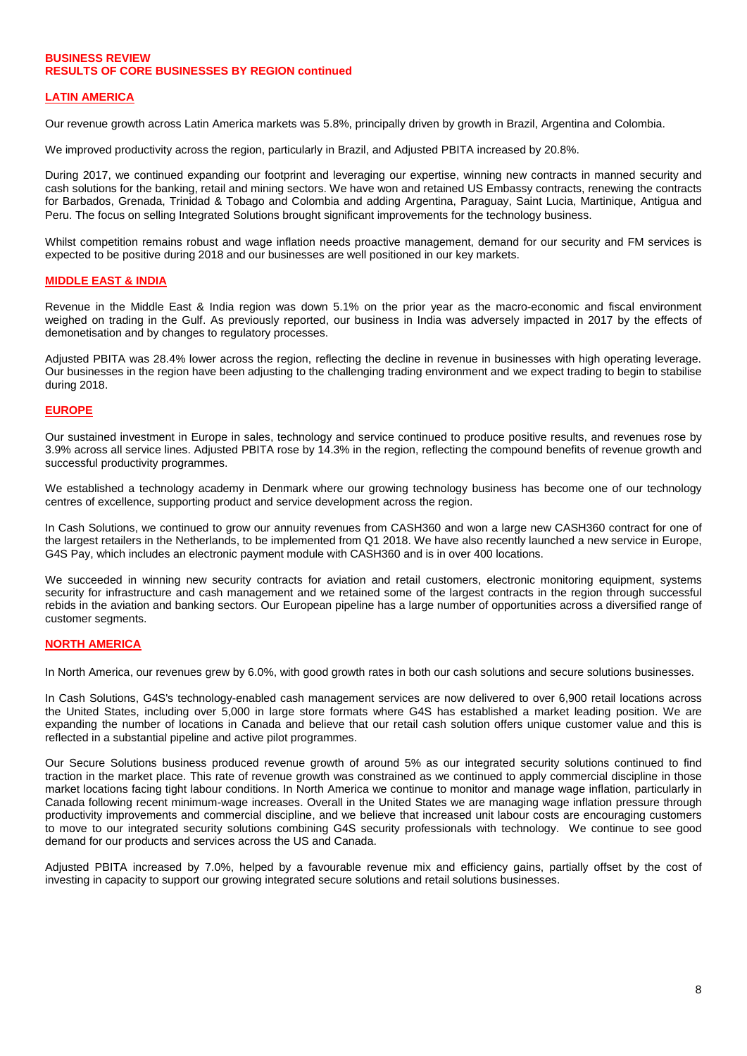# **BUSINESS REVIEW RESULTS OF CORE BUSINESSES BY REGION continued**

# **LATIN AMERICA**

Our revenue growth across Latin America markets was 5.8%, principally driven by growth in Brazil, Argentina and Colombia.

We improved productivity across the region, particularly in Brazil, and Adjusted PBITA increased by 20.8%.

During 2017, we continued expanding our footprint and leveraging our expertise, winning new contracts in manned security and cash solutions for the banking, retail and mining sectors. We have won and retained US Embassy contracts, renewing the contracts for Barbados, Grenada, Trinidad & Tobago and Colombia and adding Argentina, Paraguay, Saint Lucia, Martinique, Antigua and Peru. The focus on selling Integrated Solutions brought significant improvements for the technology business.

Whilst competition remains robust and wage inflation needs proactive management, demand for our security and FM services is expected to be positive during 2018 and our businesses are well positioned in our key markets.

### **MIDDLE EAST & INDIA**

Revenue in the Middle East & India region was down 5.1% on the prior year as the macro-economic and fiscal environment weighed on trading in the Gulf. As previously reported, our business in India was adversely impacted in 2017 by the effects of demonetisation and by changes to regulatory processes.

Adjusted PBITA was 28.4% lower across the region, reflecting the decline in revenue in businesses with high operating leverage. Our businesses in the region have been adjusting to the challenging trading environment and we expect trading to begin to stabilise during 2018.

### **EUROPE**

Our sustained investment in Europe in sales, technology and service continued to produce positive results, and revenues rose by 3.9% across all service lines. Adjusted PBITA rose by 14.3% in the region, reflecting the compound benefits of revenue growth and successful productivity programmes.

We established a technology academy in Denmark where our growing technology business has become one of our technology centres of excellence, supporting product and service development across the region.

In Cash Solutions, we continued to grow our annuity revenues from CASH360 and won a large new CASH360 contract for one of the largest retailers in the Netherlands, to be implemented from Q1 2018. We have also recently launched a new service in Europe, G4S Pay, which includes an electronic payment module with CASH360 and is in over 400 locations.

We succeeded in winning new security contracts for aviation and retail customers, electronic monitoring equipment, systems security for infrastructure and cash management and we retained some of the largest contracts in the region through successful rebids in the aviation and banking sectors. Our European pipeline has a large number of opportunities across a diversified range of customer segments.

# **NORTH AMERICA**

In North America, our revenues grew by 6.0%, with good growth rates in both our cash solutions and secure solutions businesses.

In Cash Solutions, G4S's technology-enabled cash management services are now delivered to over 6,900 retail locations across the United States, including over 5,000 in large store formats where G4S has established a market leading position. We are expanding the number of locations in Canada and believe that our retail cash solution offers unique customer value and this is reflected in a substantial pipeline and active pilot programmes.

Our Secure Solutions business produced revenue growth of around 5% as our integrated security solutions continued to find traction in the market place. This rate of revenue growth was constrained as we continued to apply commercial discipline in those market locations facing tight labour conditions. In North America we continue to monitor and manage wage inflation, particularly in Canada following recent minimum-wage increases. Overall in the United States we are managing wage inflation pressure through productivity improvements and commercial discipline, and we believe that increased unit labour costs are encouraging customers to move to our integrated security solutions combining G4S security professionals with technology. We continue to see good demand for our products and services across the US and Canada.

Adjusted PBITA increased by 7.0%, helped by a favourable revenue mix and efficiency gains, partially offset by the cost of investing in capacity to support our growing integrated secure solutions and retail solutions businesses.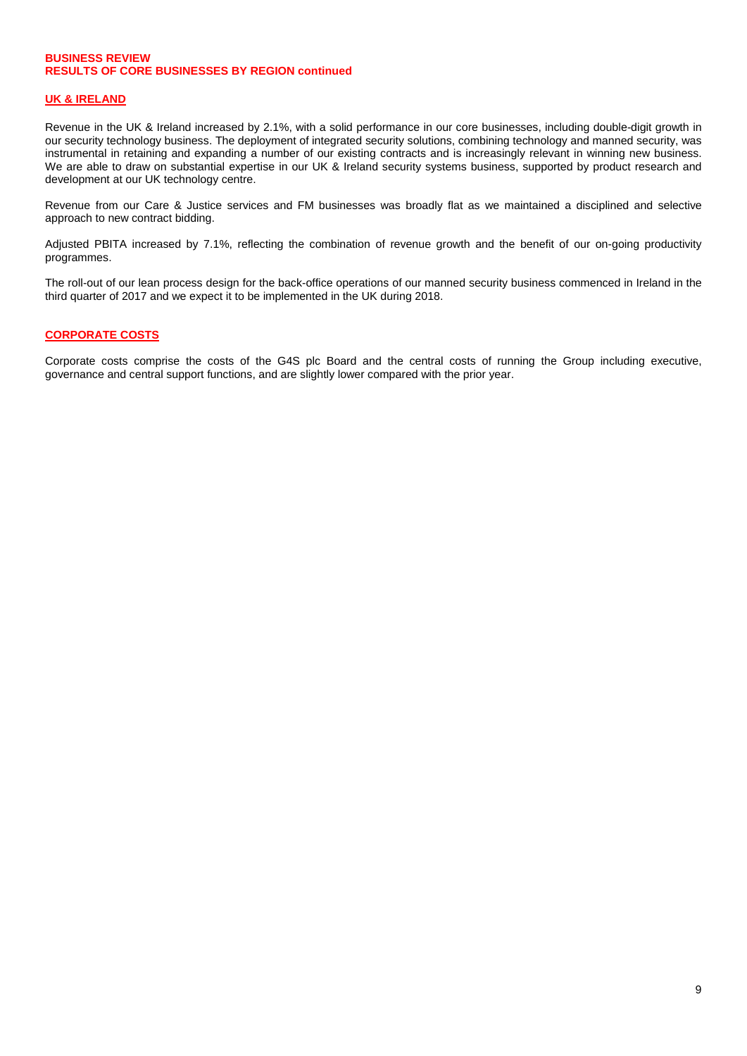# **BUSINESS REVIEW RESULTS OF CORE BUSINESSES BY REGION continued**

### **UK & IRELAND**

Revenue in the UK & Ireland increased by 2.1%, with a solid performance in our core businesses, including double-digit growth in our security technology business. The deployment of integrated security solutions, combining technology and manned security, was instrumental in retaining and expanding a number of our existing contracts and is increasingly relevant in winning new business. We are able to draw on substantial expertise in our UK & Ireland security systems business, supported by product research and development at our UK technology centre.

Revenue from our Care & Justice services and FM businesses was broadly flat as we maintained a disciplined and selective approach to new contract bidding.

Adjusted PBITA increased by 7.1%, reflecting the combination of revenue growth and the benefit of our on-going productivity programmes.

The roll-out of our lean process design for the back-office operations of our manned security business commenced in Ireland in the third quarter of 2017 and we expect it to be implemented in the UK during 2018.

### **CORPORATE COSTS**

Corporate costs comprise the costs of the G4S plc Board and the central costs of running the Group including executive, governance and central support functions, and are slightly lower compared with the prior year.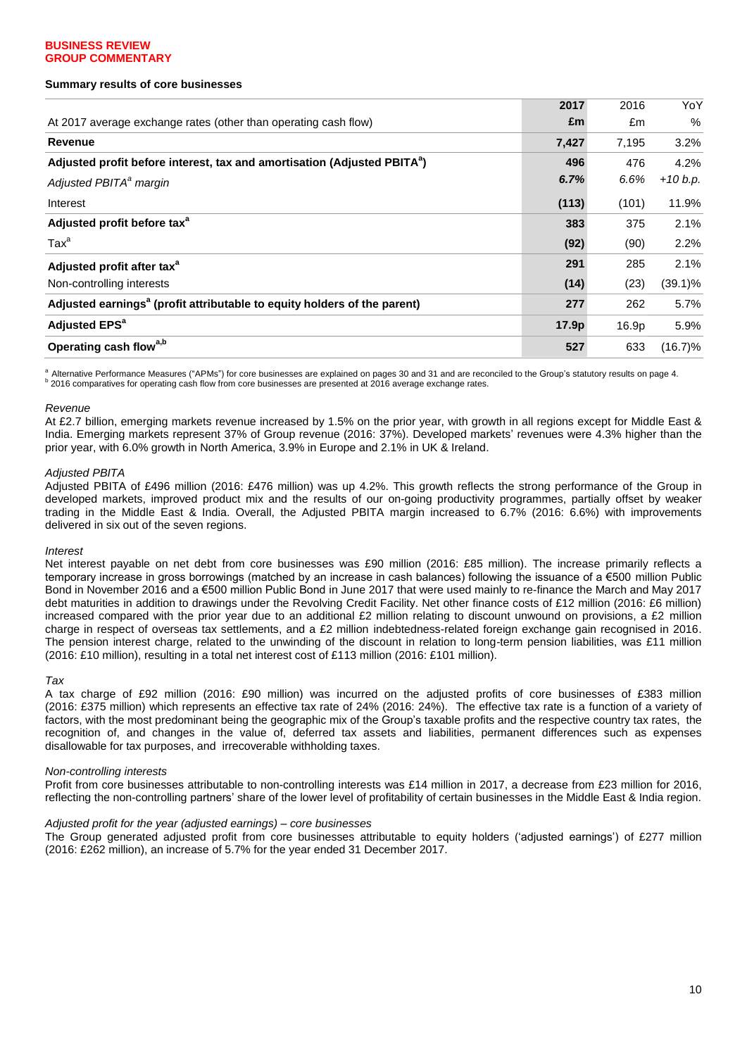### **Summary results of core businesses**

|                                                                                      | 2017              | 2016  | YoY        |
|--------------------------------------------------------------------------------------|-------------------|-------|------------|
| At 2017 average exchange rates (other than operating cash flow)                      | £m                | £m    | %          |
| <b>Revenue</b>                                                                       | 7,427             | 7,195 | 3.2%       |
| Adjusted profit before interest, tax and amortisation (Adjusted PBITA <sup>a</sup> ) | 496               | 476   | 4.2%       |
| Adjusted PBITA <sup>a</sup> margin                                                   | 6.7%              | 6.6%  | $+10 b.p.$ |
| Interest                                                                             | (113)             | (101) | 11.9%      |
| Adjusted profit before tax <sup>a</sup>                                              | 383               | 375   | 2.1%       |
| Tax <sup>a</sup>                                                                     | (92)              | (90)  | 2.2%       |
| Adjusted profit after tax <sup>a</sup>                                               | 291               | 285   | 2.1%       |
| Non-controlling interests                                                            | (14)              | (23)  | $(39.1)\%$ |
| Adjusted earnings <sup>a</sup> (profit attributable to equity holders of the parent) | 277               | 262   | 5.7%       |
| <b>Adjusted EPS<sup>a</sup></b>                                                      | 17.9 <sub>p</sub> | 16.9p | 5.9%       |
| Operating cash flow <sup>a,b</sup>                                                   | 527               | 633   | $(16.7)\%$ |

<sup>a</sup> Alternative Performance Measures ("APMs") for core businesses are explained on pages 30 and 31 and are reconciled to the Group's statutory results on page 4.<br><sup>b</sup> 2016 comparatives for operating cash flow from core busi

#### *Revenue*

At £2.7 billion, emerging markets revenue increased by 1.5% on the prior year, with growth in all regions except for Middle East & India. Emerging markets represent 37% of Group revenue (2016: 37%). Developed markets" revenues were 4.3% higher than the prior year, with 6.0% growth in North America, 3.9% in Europe and 2.1% in UK & Ireland.

### *Adjusted PBITA*

Adjusted PBITA of £496 million (2016: £476 million) was up 4.2%. This growth reflects the strong performance of the Group in developed markets, improved product mix and the results of our on-going productivity programmes, partially offset by weaker trading in the Middle East & India. Overall, the Adjusted PBITA margin increased to 6.7% (2016: 6.6%) with improvements delivered in six out of the seven regions.

#### *Interest*

Net interest payable on net debt from core businesses was £90 million (2016: £85 million). The increase primarily reflects a temporary increase in gross borrowings (matched by an increase in cash balances) following the issuance of a €500 million Public Bond in November 2016 and a €500 million Public Bond in June 2017 that were used mainly to re-finance the March and May 2017 debt maturities in addition to drawings under the Revolving Credit Facility. Net other finance costs of £12 million (2016: £6 million) increased compared with the prior year due to an additional £2 million relating to discount unwound on provisions, a £2 million charge in respect of overseas tax settlements, and a £2 million indebtedness-related foreign exchange gain recognised in 2016. The pension interest charge, related to the unwinding of the discount in relation to long-term pension liabilities, was £11 million (2016: £10 million), resulting in a total net interest cost of £113 million (2016: £101 million).

#### *Tax*

A tax charge of £92 million (2016: £90 million) was incurred on the adjusted profits of core businesses of £383 million (2016: £375 million) which represents an effective tax rate of 24% (2016: 24%). The effective tax rate is a function of a variety of factors, with the most predominant being the geographic mix of the Group"s taxable profits and the respective country tax rates, the recognition of, and changes in the value of, deferred tax assets and liabilities, permanent differences such as expenses disallowable for tax purposes, and irrecoverable withholding taxes.

### *Non-controlling interests*

Profit from core businesses attributable to non-controlling interests was £14 million in 2017, a decrease from £23 million for 2016, reflecting the non-controlling partners" share of the lower level of profitability of certain businesses in the Middle East & India region.

#### *Adjusted profit for the year (adjusted earnings) – core businesses*

The Group generated adjusted profit from core businesses attributable to equity holders ("adjusted earnings") of £277 million (2016: £262 million), an increase of 5.7% for the year ended 31 December 2017.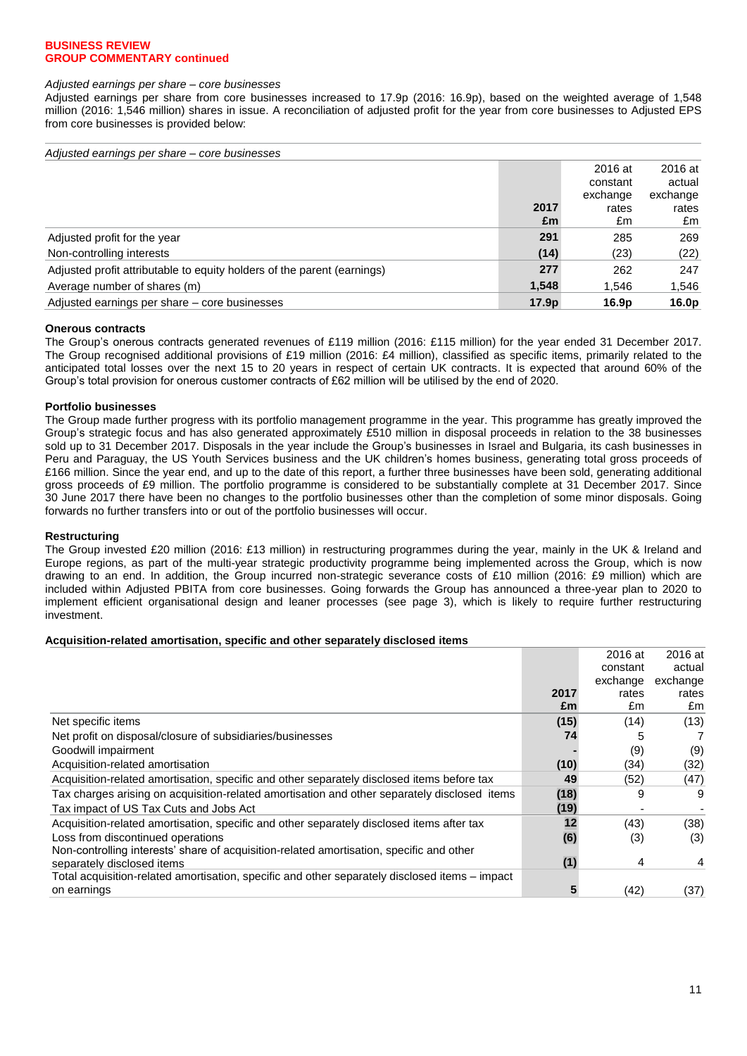#### *Adjusted earnings per share – core businesses*

Adjusted earnings per share from core businesses increased to 17.9p (2016: 16.9p), based on the weighted average of 1,548 million (2016: 1,546 million) shares in issue. A reconciliation of adjusted profit for the year from core businesses to Adjusted EPS from core businesses is provided below:

| Adjusted earnings per share – core businesses                           |                   |          |                   |
|-------------------------------------------------------------------------|-------------------|----------|-------------------|
|                                                                         |                   | 2016 at  | 2016 at           |
|                                                                         |                   | constant | actual            |
|                                                                         |                   | exchange | exchange          |
|                                                                         | 2017              | rates    | rates             |
|                                                                         | £m                | £m       | £m                |
| Adjusted profit for the year                                            | 291               | 285      | 269               |
| Non-controlling interests                                               | (14)              | (23)     | (22)              |
| Adjusted profit attributable to equity holders of the parent (earnings) | 277               | 262      | 247               |
| Average number of shares (m)                                            | 1,548             | 1,546    | 1,546             |
| Adjusted earnings per share – core businesses                           | 17.9 <sub>p</sub> | 16.9p    | 16.0 <sub>p</sub> |

### **Onerous contracts**

The Group"s onerous contracts generated revenues of £119 million (2016: £115 million) for the year ended 31 December 2017. The Group recognised additional provisions of £19 million (2016: £4 million), classified as specific items, primarily related to the anticipated total losses over the next 15 to 20 years in respect of certain UK contracts. It is expected that around 60% of the Group"s total provision for onerous customer contracts of £62 million will be utilised by the end of 2020.

### **Portfolio businesses**

The Group made further progress with its portfolio management programme in the year. This programme has greatly improved the Group"s strategic focus and has also generated approximately £510 million in disposal proceeds in relation to the 38 businesses sold up to 31 December 2017. Disposals in the year include the Group"s businesses in Israel and Bulgaria, its cash businesses in Peru and Paraguay, the US Youth Services business and the UK children"s homes business, generating total gross proceeds of £166 million. Since the year end, and up to the date of this report, a further three businesses have been sold, generating additional gross proceeds of £9 million. The portfolio programme is considered to be substantially complete at 31 December 2017. Since 30 June 2017 there have been no changes to the portfolio businesses other than the completion of some minor disposals. Going forwards no further transfers into or out of the portfolio businesses will occur.

### **Restructuring**

The Group invested £20 million (2016: £13 million) in restructuring programmes during the year, mainly in the UK & Ireland and Europe regions, as part of the multi-year strategic productivity programme being implemented across the Group, which is now drawing to an end. In addition, the Group incurred non-strategic severance costs of £10 million (2016: £9 million) which are included within Adjusted PBITA from core businesses. Going forwards the Group has announced a three-year plan to 2020 to implement efficient organisational design and leaner processes (see page 3), which is likely to require further restructuring investment.

### **Acquisition-related amortisation, specific and other separately disclosed items**

|                                                                                                |      | 2016 at  | 2016 at  |
|------------------------------------------------------------------------------------------------|------|----------|----------|
|                                                                                                |      | constant | actual   |
|                                                                                                |      | exchange | exchange |
|                                                                                                | 2017 | rates    | rates    |
|                                                                                                | £m   | £m       | £m       |
| Net specific items                                                                             | (15) | (14)     | (13)     |
| Net profit on disposal/closure of subsidiaries/businesses                                      | 74   |          |          |
| Goodwill impairment                                                                            |      | (9)      | (9)      |
| Acquisition-related amortisation                                                               | (10) | (34)     | (32)     |
| Acquisition-related amortisation, specific and other separately disclosed items before tax     | 49   | (52)     | (47)     |
| Tax charges arising on acquisition-related amortisation and other separately disclosed items   | (18) | 9        | 9        |
| Tax impact of US Tax Cuts and Jobs Act                                                         | (19) |          |          |
| Acquisition-related amortisation, specific and other separately disclosed items after tax      | 12   | (43)     | (38)     |
| Loss from discontinued operations                                                              | (6)  | (3)      | (3)      |
| Non-controlling interests' share of acquisition-related amortisation, specific and other       |      |          |          |
| separately disclosed items                                                                     | (1)  | 4        | 4        |
| Total acquisition-related amortisation, specific and other separately disclosed items – impact |      |          |          |
| on earnings                                                                                    | 5    | (42)     | (37)     |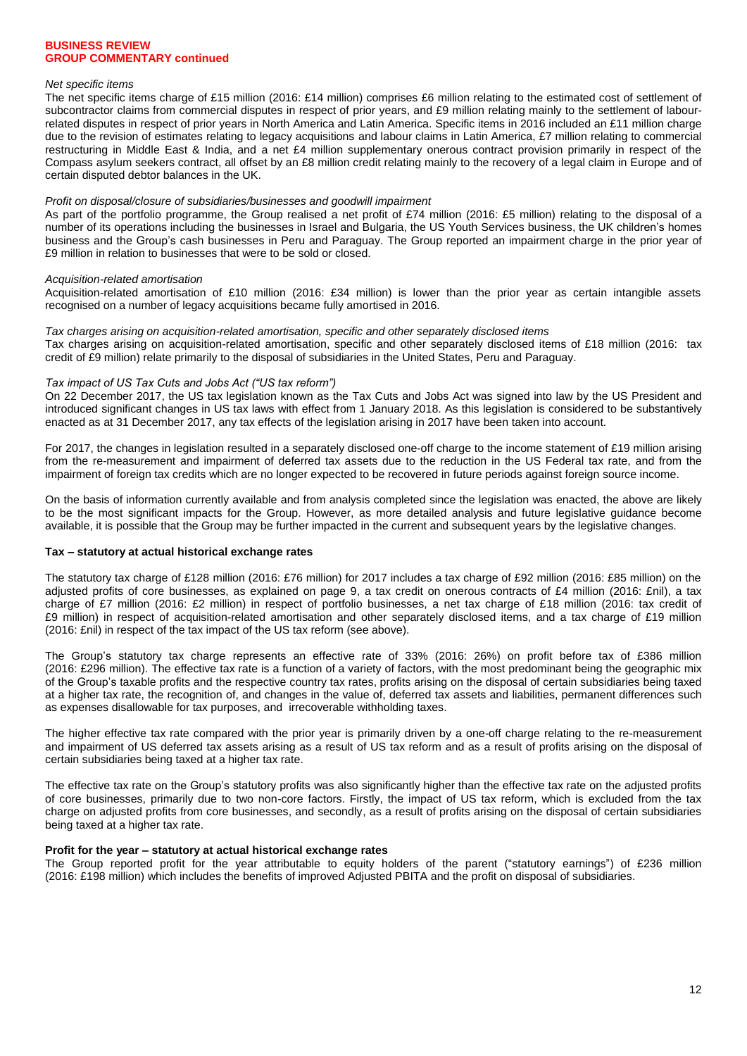### *Net specific items*

The net specific items charge of £15 million (2016: £14 million) comprises £6 million relating to the estimated cost of settlement of subcontractor claims from commercial disputes in respect of prior years, and £9 million relating mainly to the settlement of labourrelated disputes in respect of prior years in North America and Latin America. Specific items in 2016 included an £11 million charge due to the revision of estimates relating to legacy acquisitions and labour claims in Latin America, £7 million relating to commercial restructuring in Middle East & India, and a net £4 million supplementary onerous contract provision primarily in respect of the Compass asylum seekers contract, all offset by an £8 million credit relating mainly to the recovery of a legal claim in Europe and of certain disputed debtor balances in the UK.

#### *Profit on disposal/closure of subsidiaries/businesses and goodwill impairment*

As part of the portfolio programme, the Group realised a net profit of £74 million (2016: £5 million) relating to the disposal of a number of its operations including the businesses in Israel and Bulgaria, the US Youth Services business, the UK children"s homes business and the Group"s cash businesses in Peru and Paraguay. The Group reported an impairment charge in the prior year of £9 million in relation to businesses that were to be sold or closed.

### *Acquisition-related amortisation*

Acquisition-related amortisation of £10 million (2016: £34 million) is lower than the prior year as certain intangible assets recognised on a number of legacy acquisitions became fully amortised in 2016.

#### *Tax charges arising on acquisition-related amortisation, specific and other separately disclosed items*

Tax charges arising on acquisition-related amortisation, specific and other separately disclosed items of £18 million (2016: tax credit of £9 million) relate primarily to the disposal of subsidiaries in the United States, Peru and Paraguay.

### *Tax impact of US Tax Cuts and Jobs Act ("US tax reform")*

On 22 December 2017, the US tax legislation known as the Tax Cuts and Jobs Act was signed into law by the US President and introduced significant changes in US tax laws with effect from 1 January 2018. As this legislation is considered to be substantively enacted as at 31 December 2017, any tax effects of the legislation arising in 2017 have been taken into account.

For 2017, the changes in legislation resulted in a separately disclosed one-off charge to the income statement of £19 million arising from the re-measurement and impairment of deferred tax assets due to the reduction in the US Federal tax rate, and from the impairment of foreign tax credits which are no longer expected to be recovered in future periods against foreign source income.

On the basis of information currently available and from analysis completed since the legislation was enacted, the above are likely to be the most significant impacts for the Group. However, as more detailed analysis and future legislative guidance become available, it is possible that the Group may be further impacted in the current and subsequent years by the legislative changes.

#### **Tax – statutory at actual historical exchange rates**

The statutory tax charge of £128 million (2016: £76 million) for 2017 includes a tax charge of £92 million (2016: £85 million) on the adjusted profits of core businesses, as explained on page 9, a tax credit on onerous contracts of £4 million (2016: £nil), a tax charge of £7 million (2016: £2 million) in respect of portfolio businesses, a net tax charge of £18 million (2016: tax credit of £9 million) in respect of acquisition-related amortisation and other separately disclosed items, and a tax charge of £19 million (2016: £nil) in respect of the tax impact of the US tax reform (see above).

The Group"s statutory tax charge represents an effective rate of 33% (2016: 26%) on profit before tax of £386 million (2016: £296 million). The effective tax rate is a function of a variety of factors, with the most predominant being the geographic mix of the Group"s taxable profits and the respective country tax rates, profits arising on the disposal of certain subsidiaries being taxed at a higher tax rate, the recognition of, and changes in the value of, deferred tax assets and liabilities, permanent differences such as expenses disallowable for tax purposes, and irrecoverable withholding taxes.

The higher effective tax rate compared with the prior year is primarily driven by a one-off charge relating to the re-measurement and impairment of US deferred tax assets arising as a result of US tax reform and as a result of profits arising on the disposal of certain subsidiaries being taxed at a higher tax rate.

The effective tax rate on the Group"s statutory profits was also significantly higher than the effective tax rate on the adjusted profits of core businesses, primarily due to two non-core factors. Firstly, the impact of US tax reform, which is excluded from the tax charge on adjusted profits from core businesses, and secondly, as a result of profits arising on the disposal of certain subsidiaries being taxed at a higher tax rate.

#### **Profit for the year – statutory at actual historical exchange rates**

The Group reported profit for the year attributable to equity holders of the parent ("statutory earnings") of £236 million (2016: £198 million) which includes the benefits of improved Adjusted PBITA and the profit on disposal of subsidiaries.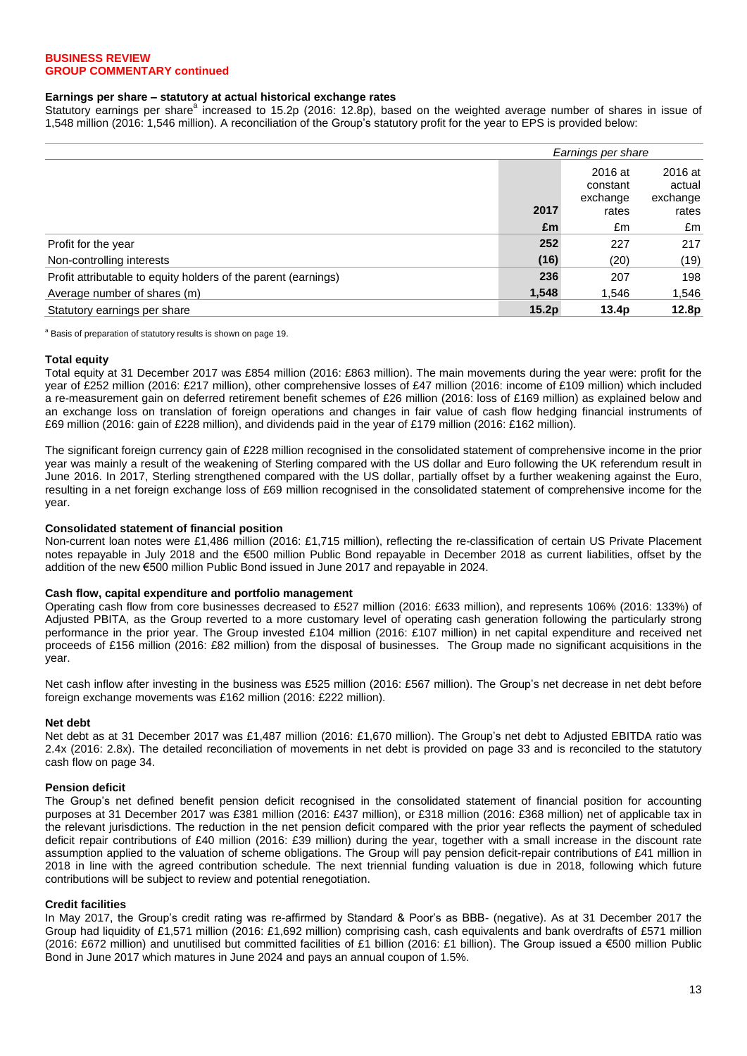### **Earnings per share – statutory at actual historical exchange rates**

Statutory earnings per share<sup>a</sup> increased to 15.2p (2016: 12.8p), based on the weighted average number of shares in issue of 1,548 million (2016: 1,546 million). A reconciliation of the Group"s statutory profit for the year to EPS is provided below:

|                                                                |       | Earnings per share              |                               |  |  |
|----------------------------------------------------------------|-------|---------------------------------|-------------------------------|--|--|
|                                                                |       | 2016 at<br>constant<br>exchange | 2016 at<br>actual<br>exchange |  |  |
|                                                                | 2017  | rates                           | rates                         |  |  |
|                                                                | £m    | £m                              | £m                            |  |  |
| Profit for the year                                            | 252   | 227                             | 217                           |  |  |
| Non-controlling interests                                      | (16)  | (20)                            | (19)                          |  |  |
| Profit attributable to equity holders of the parent (earnings) | 236   | 207                             | 198                           |  |  |
| Average number of shares (m)                                   | 1,548 | 1,546                           | 1,546                         |  |  |
| Statutory earnings per share                                   | 15.2p | 13.4 <sub>p</sub>               | 12.8p                         |  |  |

a Basis of preparation of statutory results is shown on page 19.

### **Total equity**

Total equity at 31 December 2017 was £854 million (2016: £863 million). The main movements during the year were: profit for the year of £252 million (2016: £217 million), other comprehensive losses of £47 million (2016: income of £109 million) which included a re-measurement gain on deferred retirement benefit schemes of £26 million (2016: loss of £169 million) as explained below and an exchange loss on translation of foreign operations and changes in fair value of cash flow hedging financial instruments of £69 million (2016: gain of £228 million), and dividends paid in the year of £179 million (2016: £162 million).

The significant foreign currency gain of £228 million recognised in the consolidated statement of comprehensive income in the prior year was mainly a result of the weakening of Sterling compared with the US dollar and Euro following the UK referendum result in June 2016. In 2017, Sterling strengthened compared with the US dollar, partially offset by a further weakening against the Euro, resulting in a net foreign exchange loss of £69 million recognised in the consolidated statement of comprehensive income for the year.

### **Consolidated statement of financial position**

Non-current loan notes were £1,486 million (2016: £1,715 million), reflecting the re-classification of certain US Private Placement notes repayable in July 2018 and the €500 million Public Bond repayable in December 2018 as current liabilities, offset by the addition of the new €500 million Public Bond issued in June 2017 and repayable in 2024.

#### **Cash flow, capital expenditure and portfolio management**

Operating cash flow from core businesses decreased to £527 million (2016: £633 million), and represents 106% (2016: 133%) of Adjusted PBITA, as the Group reverted to a more customary level of operating cash generation following the particularly strong performance in the prior year. The Group invested £104 million (2016: £107 million) in net capital expenditure and received net proceeds of £156 million (2016: £82 million) from the disposal of businesses. The Group made no significant acquisitions in the year.

Net cash inflow after investing in the business was £525 million (2016: £567 million). The Group's net decrease in net debt before foreign exchange movements was £162 million (2016: £222 million).

#### **Net debt**

Net debt as at 31 December 2017 was £1,487 million (2016: £1,670 million). The Group"s net debt to Adjusted EBITDA ratio was 2.4x (2016: 2.8x). The detailed reconciliation of movements in net debt is provided on page 33 and is reconciled to the statutory cash flow on page 34.

### **Pension deficit**

The Group"s net defined benefit pension deficit recognised in the consolidated statement of financial position for accounting purposes at 31 December 2017 was £381 million (2016: £437 million), or £318 million (2016: £368 million) net of applicable tax in the relevant jurisdictions. The reduction in the net pension deficit compared with the prior year reflects the payment of scheduled deficit repair contributions of £40 million (2016: £39 million) during the year, together with a small increase in the discount rate assumption applied to the valuation of scheme obligations. The Group will pay pension deficit-repair contributions of £41 million in 2018 in line with the agreed contribution schedule. The next triennial funding valuation is due in 2018, following which future contributions will be subject to review and potential renegotiation.

### **Credit facilities**

In May 2017, the Group"s credit rating was re-affirmed by Standard & Poor"s as BBB- (negative). As at 31 December 2017 the Group had liquidity of £1,571 million (2016: £1,692 million) comprising cash, cash equivalents and bank overdrafts of £571 million (2016: £672 million) and unutilised but committed facilities of £1 billion (2016: £1 billion). The Group issued a €500 million Public Bond in June 2017 which matures in June 2024 and pays an annual coupon of 1.5%.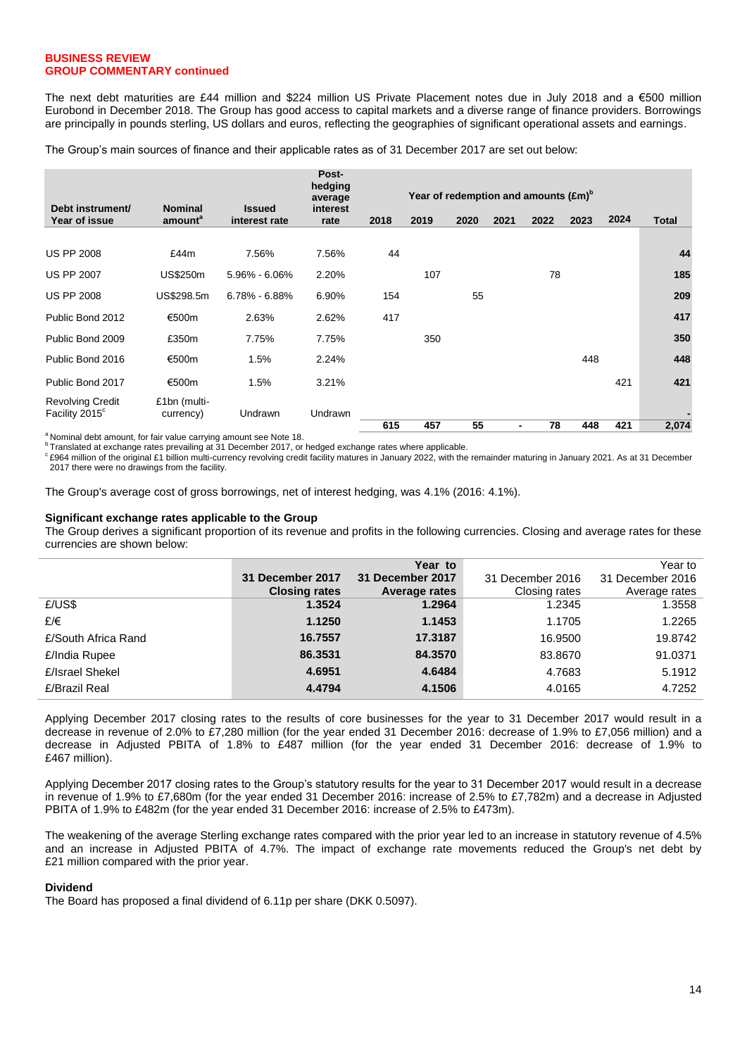The next debt maturities are £44 million and \$224 million US Private Placement notes due in July 2018 and a €500 million Eurobond in December 2018. The Group has good access to capital markets and a diverse range of finance providers. Borrowings are principally in pounds sterling, US dollars and euros, reflecting the geographies of significant operational assets and earnings.

The Group's main sources of finance and their applicable rates as of 31 December 2017 are set out below:

| Debt instrument/                                      | <b>Nominal</b>            | <b>Issued</b>     | Post-<br>hedging<br>average<br>interest |      |      | Year of redemption and amounts $(f.m)^b$ |      |      |      |      |       |  |
|-------------------------------------------------------|---------------------------|-------------------|-----------------------------------------|------|------|------------------------------------------|------|------|------|------|-------|--|
| Year of issue                                         | amount <sup>a</sup>       | interest rate     | rate                                    | 2018 | 2019 | 2020                                     | 2021 | 2022 | 2023 | 2024 | Total |  |
|                                                       |                           |                   |                                         |      |      |                                          |      |      |      |      |       |  |
| <b>US PP 2008</b>                                     | £44m                      | 7.56%             | 7.56%                                   | 44   |      |                                          |      |      |      |      | 44    |  |
| <b>US PP 2007</b>                                     | <b>US\$250m</b>           | 5.96% - 6.06%     | 2.20%                                   |      | 107  |                                          |      | 78   |      |      | 185   |  |
| <b>US PP 2008</b>                                     | US\$298.5m                | $6.78\% - 6.88\%$ | 6.90%                                   | 154  |      | 55                                       |      |      |      |      | 209   |  |
| Public Bond 2012                                      | €500m                     | 2.63%             | 2.62%                                   | 417  |      |                                          |      |      |      |      | 417   |  |
| Public Bond 2009                                      | £350m                     | 7.75%             | 7.75%                                   |      | 350  |                                          |      |      |      |      | 350   |  |
| Public Bond 2016                                      | €500m                     | 1.5%              | 2.24%                                   |      |      |                                          |      |      | 448  |      | 448   |  |
| Public Bond 2017                                      | €500m                     | 1.5%              | 3.21%                                   |      |      |                                          |      |      |      | 421  | 421   |  |
| <b>Revolving Credit</b><br>Facility 2015 <sup>c</sup> | £1bn (multi-<br>currency) | Undrawn           | Undrawn                                 |      |      |                                          |      |      |      |      |       |  |
|                                                       |                           |                   |                                         | 615  | 457  | 55                                       | ٠    | 78   | 448  | 421  | 2,074 |  |

<sup>a</sup> Nominal debt amount, for fair value carrying amount see Note 18.

<sup>b</sup> Translated at exchange rates prevailing at 31 December 2017, or hedged exchange rates where applicable.

<sup>c</sup> £964 million of the original £1 billion multi-currency revolving credit facility matures in January 2022, with the remainder maturing in January 2021. As at 31 December 2017 there were no drawings from the facility.

The Group's average cost of gross borrowings, net of interest hedging, was 4.1% (2016: 4.1%).

### **Significant exchange rates applicable to the Group**

The Group derives a significant proportion of its revenue and profits in the following currencies. Closing and average rates for these currencies are shown below:

|                     |                      | Year to          |                  | Year to          |
|---------------------|----------------------|------------------|------------------|------------------|
|                     | 31 December 2017     | 31 December 2017 | 31 December 2016 | 31 December 2016 |
|                     | <b>Closing rates</b> | Average rates    | Closing rates    | Average rates    |
| E/US\$              | 1.3524               | 1.2964           | 1.2345           | 1.3558           |
| £/€                 | 1.1250               | 1.1453           | 1.1705           | 1.2265           |
| £/South Africa Rand | 16.7557              | 17.3187          | 16.9500          | 19.8742          |
| £/India Rupee       | 86.3531              | 84.3570          | 83.8670          | 91.0371          |
| £/Israel Shekel     | 4.6951               | 4.6484           | 4.7683           | 5.1912           |
| £/Brazil Real       | 4.4794               | 4.1506           | 4.0165           | 4.7252           |

Applying December 2017 closing rates to the results of core businesses for the year to 31 December 2017 would result in a decrease in revenue of 2.0% to £7,280 million (for the year ended 31 December 2016: decrease of 1.9% to £7,056 million) and a decrease in Adjusted PBITA of 1.8% to £487 million (for the year ended 31 December 2016: decrease of 1.9% to £467 million).

Applying December 2017 closing rates to the Group"s statutory results for the year to 31 December 2017 would result in a decrease in revenue of 1.9% to £7,680m (for the year ended 31 December 2016: increase of 2.5% to £7,782m) and a decrease in Adjusted PBITA of 1.9% to £482m (for the year ended 31 December 2016: increase of 2.5% to £473m).

The weakening of the average Sterling exchange rates compared with the prior year led to an increase in statutory revenue of 4.5% and an increase in Adjusted PBITA of 4.7%. The impact of exchange rate movements reduced the Group's net debt by £21 million compared with the prior year.

### **Dividend**

The Board has proposed a final dividend of 6.11p per share (DKK 0.5097).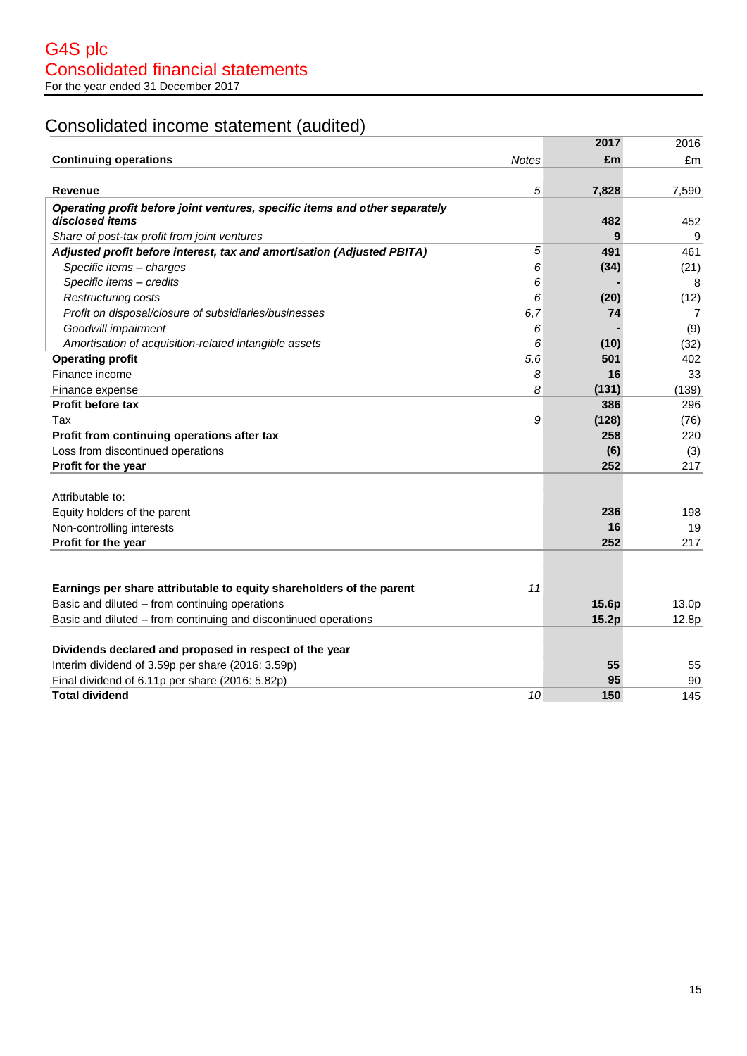# Consolidated income statement (audited)

|                                                                             |              | 2017  | 2016  |
|-----------------------------------------------------------------------------|--------------|-------|-------|
| <b>Continuing operations</b>                                                | <b>Notes</b> | £m    | £m    |
|                                                                             |              |       |       |
| <b>Revenue</b>                                                              | 5            | 7,828 | 7,590 |
| Operating profit before joint ventures, specific items and other separately |              |       |       |
| disclosed items                                                             |              | 482   | 452   |
| Share of post-tax profit from joint ventures                                |              | 9     | 9     |
| Adjusted profit before interest, tax and amortisation (Adjusted PBITA)      | 5            | 491   | 461   |
| Specific items - charges                                                    | 6            | (34)  | (21)  |
| Specific items - credits                                                    | 6            |       | 8     |
| <b>Restructuring costs</b>                                                  | 6            | (20)  | (12)  |
| Profit on disposal/closure of subsidiaries/businesses                       | 6,7          | 74    | 7     |
| Goodwill impairment                                                         | 6            |       | (9)   |
| Amortisation of acquisition-related intangible assets                       | 6            | (10)  | (32)  |
| <b>Operating profit</b>                                                     | 5,6          | 501   | 402   |
| Finance income                                                              | 8            | 16    | 33    |
| Finance expense                                                             | 8            | (131) | (139) |
| <b>Profit before tax</b>                                                    |              | 386   | 296   |
| Tax                                                                         | 9            | (128) | (76)  |
| Profit from continuing operations after tax                                 |              | 258   | 220   |
| Loss from discontinued operations                                           |              | (6)   | (3)   |
| Profit for the year                                                         |              | 252   | 217   |
|                                                                             |              |       |       |
| Attributable to:                                                            |              |       |       |
| Equity holders of the parent                                                |              | 236   | 198   |
| Non-controlling interests                                                   |              | 16    | 19    |
| Profit for the year                                                         |              | 252   | 217   |
|                                                                             |              |       |       |
|                                                                             |              |       |       |
| Earnings per share attributable to equity shareholders of the parent        | 11           |       |       |
| Basic and diluted - from continuing operations                              |              | 15.6p | 13.0p |
| Basic and diluted – from continuing and discontinued operations             |              | 15.2p | 12.8p |
|                                                                             |              |       |       |
| Dividends declared and proposed in respect of the year                      |              |       |       |
| Interim dividend of 3.59p per share (2016: 3.59p)                           |              | 55    | 55    |
| Final dividend of 6.11p per share (2016: 5.82p)                             |              | 95    | 90    |
| <b>Total dividend</b>                                                       | 10           | 150   | 145   |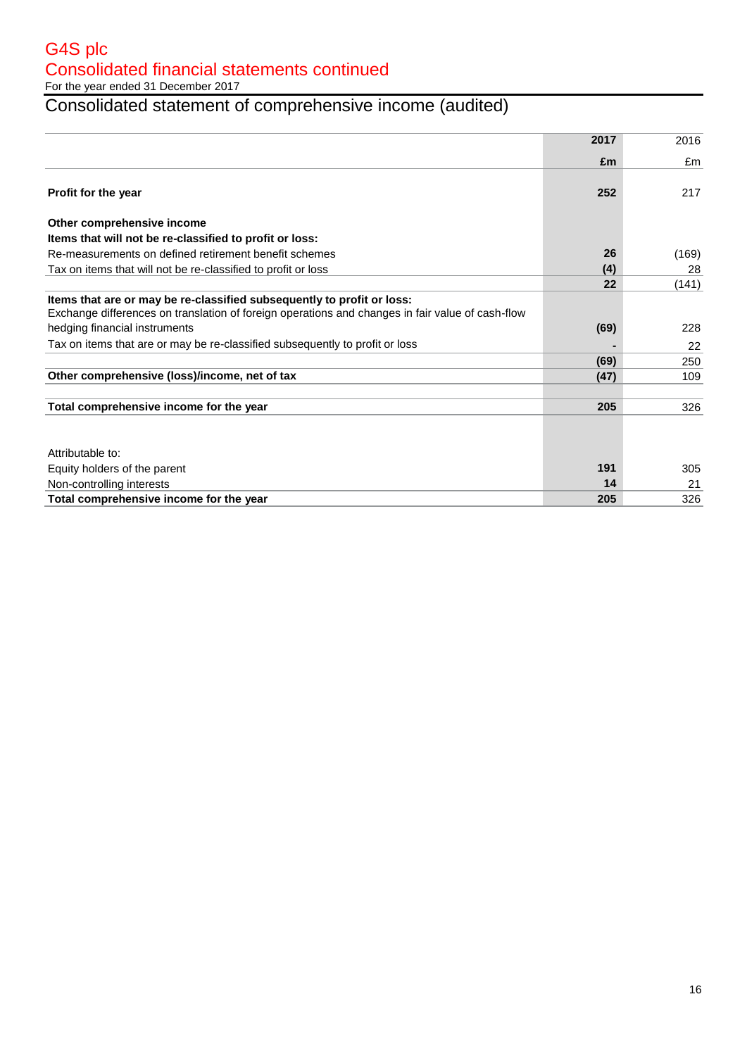For the year ended 31 December 2017

# Consolidated statement of comprehensive income (audited)

|                                                                                                                                                                            | 2017 | 2016  |
|----------------------------------------------------------------------------------------------------------------------------------------------------------------------------|------|-------|
|                                                                                                                                                                            | £m   | £m    |
| Profit for the year                                                                                                                                                        | 252  | 217   |
| Other comprehensive income                                                                                                                                                 |      |       |
| Items that will not be re-classified to profit or loss:                                                                                                                    |      |       |
| Re-measurements on defined retirement benefit schemes                                                                                                                      | 26   | (169) |
| Tax on items that will not be re-classified to profit or loss                                                                                                              | (4)  | 28    |
|                                                                                                                                                                            | 22   | (141) |
| Items that are or may be re-classified subsequently to profit or loss:<br>Exchange differences on translation of foreign operations and changes in fair value of cash-flow |      |       |
| hedging financial instruments                                                                                                                                              | (69) | 228   |
| Tax on items that are or may be re-classified subsequently to profit or loss                                                                                               |      | 22    |
|                                                                                                                                                                            | (69) | 250   |
| Other comprehensive (loss)/income, net of tax                                                                                                                              | (47) | 109   |
| Total comprehensive income for the year                                                                                                                                    | 205  | 326   |
|                                                                                                                                                                            |      |       |
| Attributable to:                                                                                                                                                           |      |       |
| Equity holders of the parent                                                                                                                                               | 191  | 305   |
| Non-controlling interests                                                                                                                                                  | 14   | 21    |
| Total comprehensive income for the year                                                                                                                                    | 205  | 326   |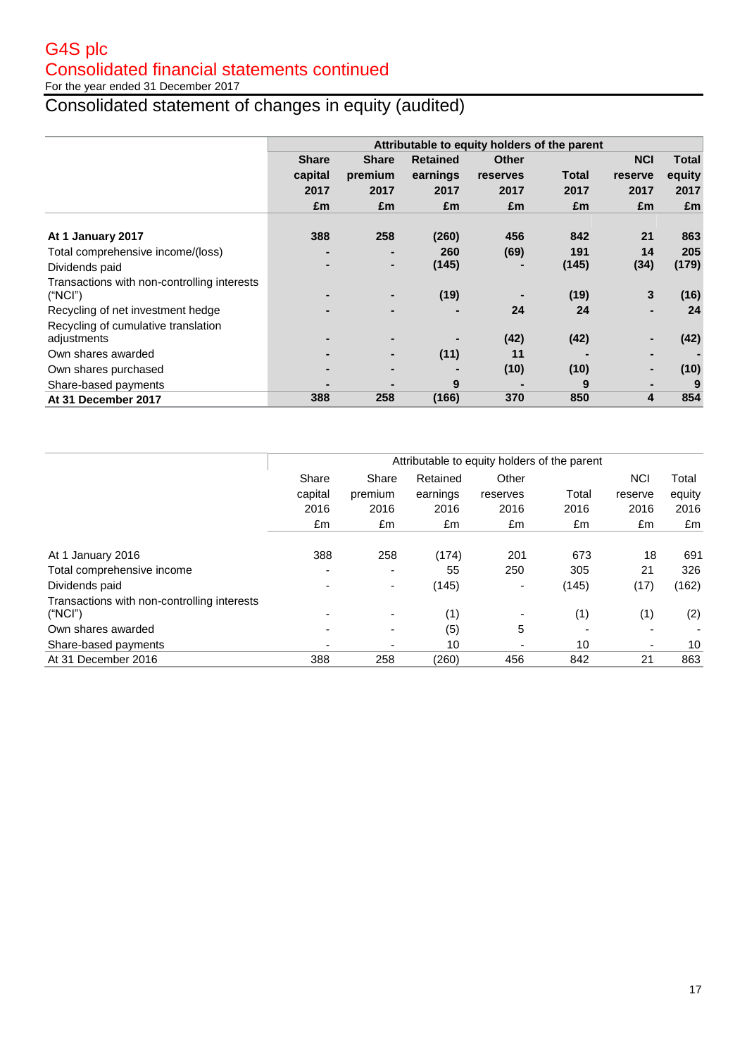For the year ended 31 December 2017

# Consolidated statement of changes in equity (audited)

|                                             |              | Attributable to equity holders of the parent |                 |              |       |            |        |
|---------------------------------------------|--------------|----------------------------------------------|-----------------|--------------|-------|------------|--------|
|                                             | <b>Share</b> | <b>Share</b>                                 | <b>Retained</b> | <b>Other</b> |       | <b>NCI</b> | Total  |
|                                             | capital      | premium                                      | earnings        | reserves     | Total | reserve    | equity |
|                                             | 2017         | 2017                                         | 2017            | 2017         | 2017  | 2017       | 2017   |
|                                             | £m           | £m                                           | £m              | £m           | £m    | £m         | £m     |
|                                             |              |                                              |                 |              |       |            |        |
| At 1 January 2017                           | 388          | 258                                          | (260)           | 456          | 842   | 21         | 863    |
| Total comprehensive income/(loss)           |              | $\blacksquare$                               | 260             | (69)         | 191   | 14         | 205    |
| Dividends paid                              |              | $\blacksquare$                               | (145)           |              | (145) | (34)       | (179)  |
| Transactions with non-controlling interests |              |                                              |                 |              |       |            |        |
| ("NCI")                                     |              |                                              | (19)            |              | (19)  | 3          | (16)   |
| Recycling of net investment hedge           |              | -                                            |                 | 24           | 24    |            | 24     |
| Recycling of cumulative translation         |              |                                              |                 |              |       |            |        |
| adjustments                                 |              |                                              |                 | (42)         | (42)  |            | (42)   |
| Own shares awarded                          |              |                                              | (11)            | 11           |       |            |        |
| Own shares purchased                        |              | -                                            |                 | (10)         | (10)  |            | (10)   |
| Share-based payments                        |              |                                              | 9               |              | 9     |            | 9      |
| At 31 December 2017                         | 388          | 258                                          | (166)           | 370          | 850   | 4          | 854    |

|                                             | Attributable to equity holders of the parent |                          |          |                          |       |            |        |
|---------------------------------------------|----------------------------------------------|--------------------------|----------|--------------------------|-------|------------|--------|
|                                             | Share                                        | Share                    | Retained | Other                    |       | <b>NCI</b> | Total  |
|                                             | capital                                      | premium                  | earnings | reserves                 | Total | reserve    | equity |
|                                             | 2016                                         | 2016                     | 2016     | 2016                     | 2016  | 2016       | 2016   |
|                                             | £m                                           | £m                       | £m       | £m                       | £m    | £m         | £m     |
|                                             |                                              |                          |          |                          |       |            |        |
| At 1 January 2016                           | 388                                          | 258                      | (174)    | 201                      | 673   | 18         | 691    |
| Total comprehensive income                  | -                                            | $\overline{\phantom{0}}$ | 55       | 250                      | 305   | 21         | 326    |
| Dividends paid                              |                                              | $\blacksquare$           | (145)    | -                        | (145) | (17)       | (162)  |
| Transactions with non-controlling interests |                                              |                          |          |                          |       |            |        |
| ("NCI")                                     |                                              | $\blacksquare$           | (1)      | $\overline{\phantom{0}}$ | (1)   | (1)        | (2)    |
| Own shares awarded                          |                                              | $\overline{\phantom{0}}$ | (5)      | 5                        |       |            |        |
| Share-based payments                        |                                              | ٠                        | 10       |                          | 10    | ۰          | 10     |
| At 31 December 2016                         | 388                                          | 258                      | (260)    | 456                      | 842   | 21         | 863    |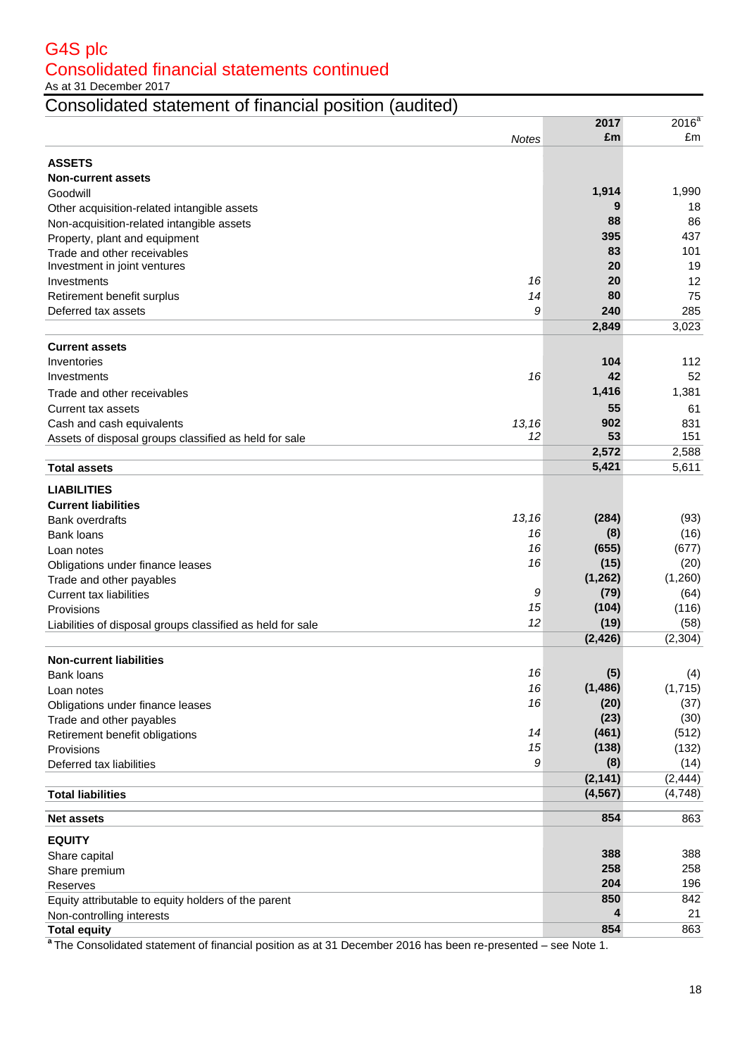As at 31 December 2017

# Consolidated statement of financial position (audited)

|                                                            |              | 2017     | $2016^a$       |
|------------------------------------------------------------|--------------|----------|----------------|
|                                                            | <b>Notes</b> | £m       | £m             |
|                                                            |              |          |                |
| <b>ASSETS</b>                                              |              |          |                |
| <b>Non-current assets</b>                                  |              |          |                |
| Goodwill                                                   |              | 1,914    | 1,990          |
| Other acquisition-related intangible assets                |              | 9        | 18             |
| Non-acquisition-related intangible assets                  |              | 88       | 86             |
| Property, plant and equipment                              |              | 395      | 437            |
| Trade and other receivables                                |              | 83       | 101            |
| Investment in joint ventures                               |              | 20       | 19             |
| Investments                                                | 16           | 20       | 12             |
| Retirement benefit surplus                                 | 14           | 80       | 75             |
| Deferred tax assets                                        | 9            | 240      | 285            |
|                                                            |              | 2,849    | 3,023          |
| <b>Current assets</b>                                      |              |          |                |
| Inventories                                                |              | 104      | 112            |
|                                                            | 16           | 42       | 52             |
| Investments                                                |              | 1,416    | 1,381          |
| Trade and other receivables                                |              |          |                |
| Current tax assets                                         |              | 55       | 61             |
| Cash and cash equivalents                                  | 13,16        | 902      | 831            |
| Assets of disposal groups classified as held for sale      | 12           | 53       | 151            |
|                                                            |              | 2,572    | 2,588          |
| <b>Total assets</b>                                        |              | 5,421    | 5,611          |
| <b>LIABILITIES</b>                                         |              |          |                |
| <b>Current liabilities</b>                                 |              |          |                |
| <b>Bank overdrafts</b>                                     | 13,16        | (284)    | (93)           |
| <b>Bank loans</b>                                          | 16           | (8)      | (16)           |
| Loan notes                                                 | 16           | (655)    | (677)          |
| Obligations under finance leases                           | 16           | (15)     | (20)           |
| Trade and other payables                                   |              | (1, 262) | (1,260)        |
| <b>Current tax liabilities</b>                             | 9            | (79)     | (64)           |
| Provisions                                                 | 15           | (104)    | (116)          |
| Liabilities of disposal groups classified as held for sale | 12           | (19)     | (58)           |
|                                                            |              | (2, 426) | (2, 304)       |
|                                                            |              |          |                |
| <b>Non-current liabilities</b>                             | 16           | (5)      |                |
| Bank loans                                                 | 16           | (1, 486) | (4)<br>(1,715) |
| Loan notes                                                 | 16           | (20)     | (37)           |
| Obligations under finance leases                           |              | (23)     | (30)           |
| Trade and other payables                                   | 14           | (461)    | (512)          |
| Retirement benefit obligations                             | 15           | (138)    | (132)          |
| Provisions                                                 | 9            |          |                |
| Deferred tax liabilities                                   |              | (8)      | (14)           |
|                                                            |              | (2, 141) | (2, 444)       |
| <b>Total liabilities</b>                                   |              | (4, 567) | (4,748)        |
| <b>Net assets</b>                                          |              | 854      | 863            |
|                                                            |              |          |                |
| <b>EQUITY</b>                                              |              |          |                |
| Share capital                                              |              | 388      | 388            |
| Share premium                                              |              | 258      | 258            |
| Reserves                                                   |              | 204      | 196            |
| Equity attributable to equity holders of the parent        |              | 850      | 842            |
| Non-controlling interests                                  |              | 4        | 21             |
| <b>Total equity</b>                                        |              | 854      | 863            |

**a** The Consolidated statement of financial position as at 31 December 2016 has been re-presented – see Note 1.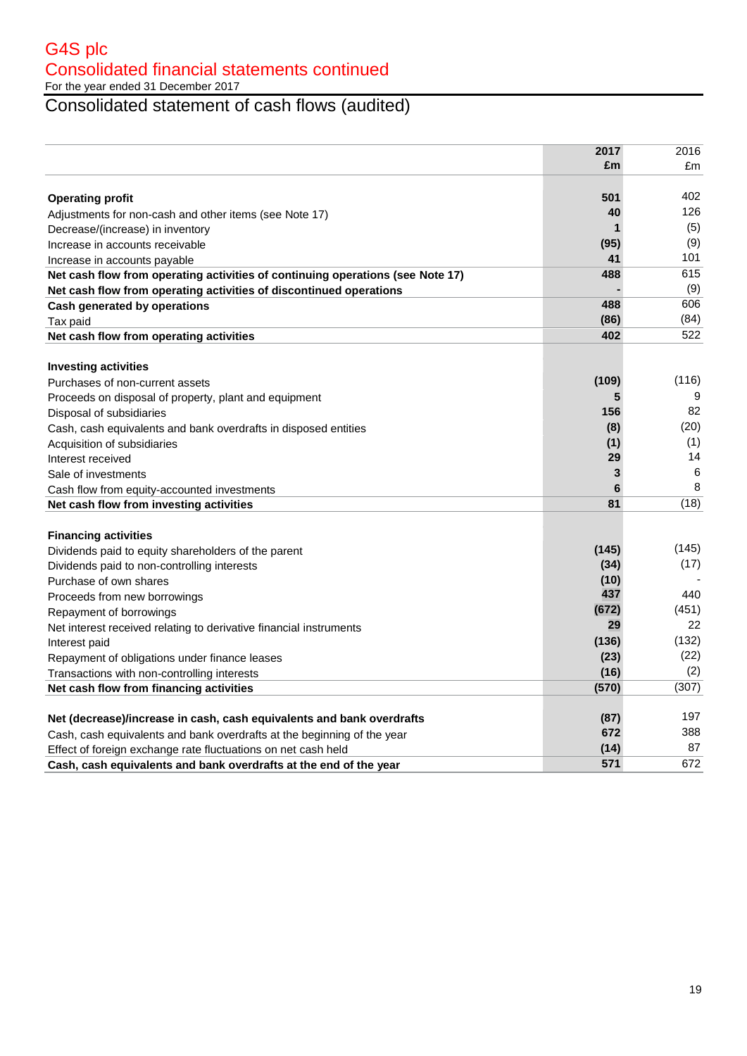For the year ended 31 December 2017

Consolidated statement of cash flows (audited)

|                                                                                | 2017  | 2016  |
|--------------------------------------------------------------------------------|-------|-------|
|                                                                                | £m    | £m    |
|                                                                                |       |       |
| <b>Operating profit</b>                                                        | 501   | 402   |
| Adjustments for non-cash and other items (see Note 17)                         | 40    | 126   |
| Decrease/(increase) in inventory                                               | 1     | (5)   |
| Increase in accounts receivable                                                | (95)  | (9)   |
| Increase in accounts payable                                                   | 41    | 101   |
| Net cash flow from operating activities of continuing operations (see Note 17) | 488   | 615   |
| Net cash flow from operating activities of discontinued operations             |       | (9)   |
| Cash generated by operations                                                   | 488   | 606   |
| Tax paid                                                                       | (86)  | (84)  |
| Net cash flow from operating activities                                        | 402   | 522   |
|                                                                                |       |       |
| <b>Investing activities</b>                                                    |       |       |
| Purchases of non-current assets                                                | (109) | (116) |
| Proceeds on disposal of property, plant and equipment                          | 5     | 9     |
| Disposal of subsidiaries                                                       | 156   | 82    |
| Cash, cash equivalents and bank overdrafts in disposed entities                | (8)   | (20)  |
| Acquisition of subsidiaries                                                    | (1)   | (1)   |
| Interest received                                                              | 29    | 14    |
| Sale of investments                                                            | 3     | 6     |
| Cash flow from equity-accounted investments                                    | 6     | 8     |
| Net cash flow from investing activities                                        | 81    | (18)  |
|                                                                                |       |       |
| <b>Financing activities</b>                                                    |       |       |
| Dividends paid to equity shareholders of the parent                            | (145) | (145) |
| Dividends paid to non-controlling interests                                    | (34)  | (17)  |
| Purchase of own shares                                                         | (10)  |       |
| Proceeds from new borrowings                                                   | 437   | 440   |
| Repayment of borrowings                                                        | (672) | (451) |
| Net interest received relating to derivative financial instruments             | 29    | 22    |
| Interest paid                                                                  | (136) | (132) |
| Repayment of obligations under finance leases                                  | (23)  | (22)  |
| Transactions with non-controlling interests                                    | (16)  | (2)   |
| Net cash flow from financing activities                                        | (570) | (307) |
|                                                                                |       | 197   |
| Net (decrease)/increase in cash, cash equivalents and bank overdrafts          | (87)  | 388   |
| Cash, cash equivalents and bank overdrafts at the beginning of the year        | 672   | 87    |
| Effect of foreign exchange rate fluctuations on net cash held                  | (14)  |       |
| Cash, cash equivalents and bank overdrafts at the end of the year              | 571   | 672   |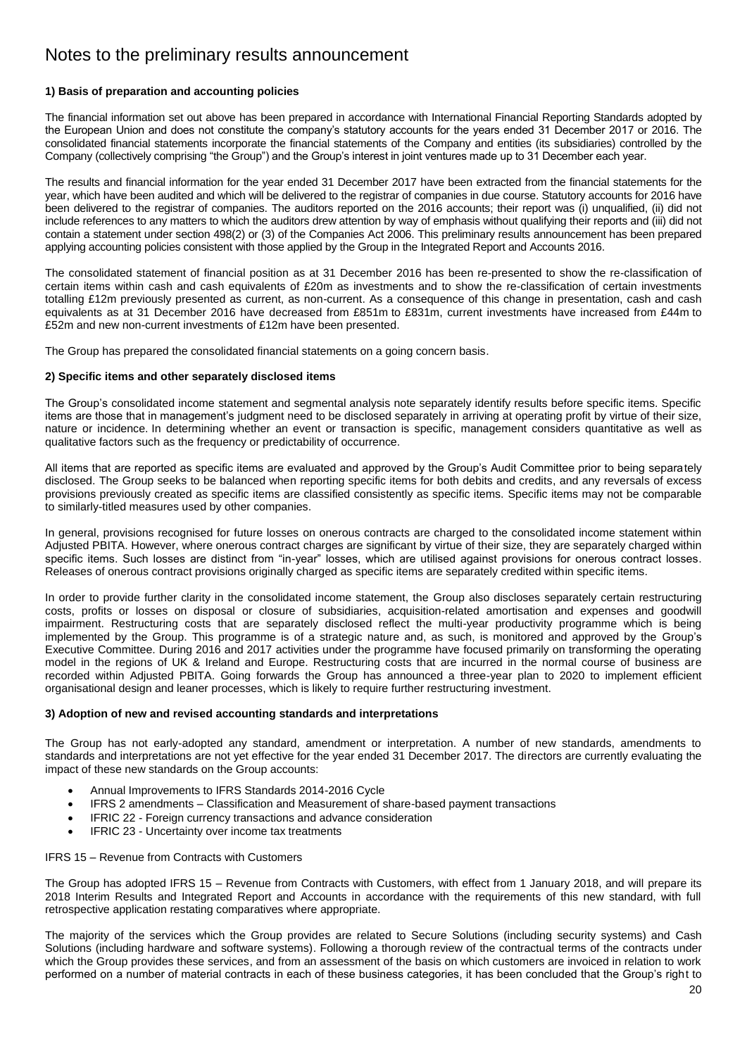# **1) Basis of preparation and accounting policies**

The financial information set out above has been prepared in accordance with International Financial Reporting Standards adopted by the European Union and does not constitute the company"s statutory accounts for the years ended 31 December 2017 or 2016. The consolidated financial statements incorporate the financial statements of the Company and entities (its subsidiaries) controlled by the Company (collectively comprising "the Group") and the Group"s interest in joint ventures made up to 31 December each year.

The results and financial information for the year ended 31 December 2017 have been extracted from the financial statements for the year, which have been audited and which will be delivered to the registrar of companies in due course. Statutory accounts for 2016 have been delivered to the registrar of companies. The auditors reported on the 2016 accounts; their report was (i) unqualified, (ii) did not include references to any matters to which the auditors drew attention by way of emphasis without qualifying their reports and (iii) did not contain a statement under section 498(2) or (3) of the Companies Act 2006. This preliminary results announcement has been prepared applying accounting policies consistent with those applied by the Group in the Integrated Report and Accounts 2016.

The consolidated statement of financial position as at 31 December 2016 has been re-presented to show the re-classification of certain items within cash and cash equivalents of £20m as investments and to show the re-classification of certain investments totalling £12m previously presented as current, as non-current. As a consequence of this change in presentation, cash and cash equivalents as at 31 December 2016 have decreased from £851m to £831m, current investments have increased from £44m to £52m and new non-current investments of £12m have been presented.

The Group has prepared the consolidated financial statements on a going concern basis.

# **2) Specific items and other separately disclosed items**

The Group's consolidated income statement and segmental analysis note separately identify results before specific items. Specific items are those that in management"s judgment need to be disclosed separately in arriving at operating profit by virtue of their size, nature or incidence. In determining whether an event or transaction is specific, management considers quantitative as well as qualitative factors such as the frequency or predictability of occurrence.

All items that are reported as specific items are evaluated and approved by the Group"s Audit Committee prior to being separately disclosed. The Group seeks to be balanced when reporting specific items for both debits and credits, and any reversals of excess provisions previously created as specific items are classified consistently as specific items. Specific items may not be comparable to similarly-titled measures used by other companies.

In general, provisions recognised for future losses on onerous contracts are charged to the consolidated income statement within Adjusted PBITA. However, where onerous contract charges are significant by virtue of their size, they are separately charged within specific items. Such losses are distinct from "in-year" losses, which are utilised against provisions for onerous contract losses. Releases of onerous contract provisions originally charged as specific items are separately credited within specific items.

In order to provide further clarity in the consolidated income statement, the Group also discloses separately certain restructuring costs, profits or losses on disposal or closure of subsidiaries, acquisition-related amortisation and expenses and goodwill impairment. Restructuring costs that are separately disclosed reflect the multi-year productivity programme which is being implemented by the Group. This programme is of a strategic nature and, as such, is monitored and approved by the Group"s Executive Committee. During 2016 and 2017 activities under the programme have focused primarily on transforming the operating model in the regions of UK & Ireland and Europe. Restructuring costs that are incurred in the normal course of business are recorded within Adjusted PBITA. Going forwards the Group has announced a three-year plan to 2020 to implement efficient organisational design and leaner processes, which is likely to require further restructuring investment.

# **3) Adoption of new and revised accounting standards and interpretations**

The Group has not early-adopted any standard, amendment or interpretation. A number of new standards, amendments to standards and interpretations are not yet effective for the year ended 31 December 2017. The directors are currently evaluating the impact of these new standards on the Group accounts:

- Annual Improvements to IFRS Standards 2014-2016 Cycle
- IFRS 2 amendments Classification and Measurement of share-based payment transactions
- IFRIC 22 Foreign currency transactions and advance consideration
- IFRIC 23 Uncertainty over income tax treatments

### IFRS 15 – Revenue from Contracts with Customers

The Group has adopted IFRS 15 – Revenue from Contracts with Customers, with effect from 1 January 2018, and will prepare its 2018 Interim Results and Integrated Report and Accounts in accordance with the requirements of this new standard, with full retrospective application restating comparatives where appropriate.

The majority of the services which the Group provides are related to Secure Solutions (including security systems) and Cash Solutions (including hardware and software systems). Following a thorough review of the contractual terms of the contracts under which the Group provides these services, and from an assessment of the basis on which customers are invoiced in relation to work performed on a number of material contracts in each of these business categories, it has been concluded that the Group"s right to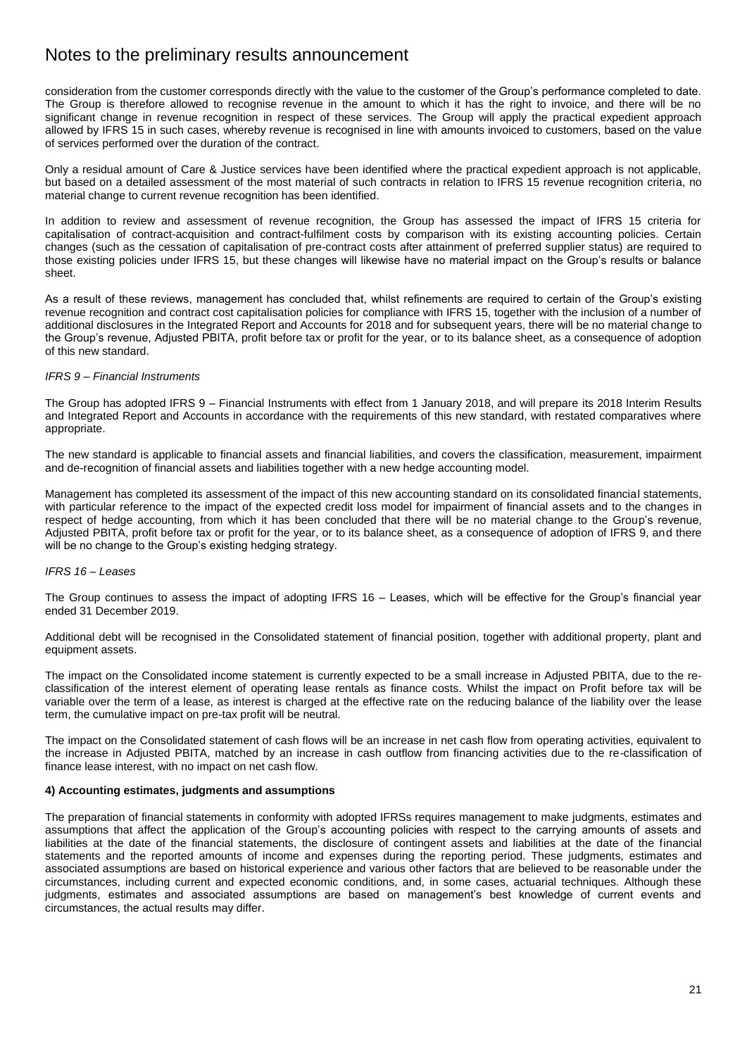consideration from the customer corresponds directly with the value to the customer of the Group"s performance completed to date. The Group is therefore allowed to recognise revenue in the amount to which it has the right to invoice, and there will be no significant change in revenue recognition in respect of these services. The Group will apply the practical expedient approach allowed by IFRS 15 in such cases, whereby revenue is recognised in line with amounts invoiced to customers, based on the value of services performed over the duration of the contract.

Only a residual amount of Care & Justice services have been identified where the practical expedient approach is not applicable, but based on a detailed assessment of the most material of such contracts in relation to IFRS 15 revenue recognition criteria, no material change to current revenue recognition has been identified.

In addition to review and assessment of revenue recognition, the Group has assessed the impact of IFRS 15 criteria for capitalisation of contract-acquisition and contract-fulfilment costs by comparison with its existing accounting policies. Certain changes (such as the cessation of capitalisation of pre-contract costs after attainment of preferred supplier status) are required to those existing policies under IFRS 15, but these changes will likewise have no material impact on the Group"s results or balance sheet.

As a result of these reviews, management has concluded that, whilst refinements are required to certain of the Group"s existing revenue recognition and contract cost capitalisation policies for compliance with IFRS 15, together with the inclusion of a number of additional disclosures in the Integrated Report and Accounts for 2018 and for subsequent years, there will be no material change to the Group"s revenue, Adjusted PBITA, profit before tax or profit for the year, or to its balance sheet, as a consequence of adoption of this new standard.

# *IFRS 9 – Financial Instruments*

The Group has adopted IFRS 9 – Financial Instruments with effect from 1 January 2018, and will prepare its 2018 Interim Results and Integrated Report and Accounts in accordance with the requirements of this new standard, with restated comparatives where appropriate.

The new standard is applicable to financial assets and financial liabilities, and covers the classification, measurement, impairment and de-recognition of financial assets and liabilities together with a new hedge accounting model.

Management has completed its assessment of the impact of this new accounting standard on its consolidated financial statements, with particular reference to the impact of the expected credit loss model for impairment of financial assets and to the changes in respect of hedge accounting, from which it has been concluded that there will be no material change to the Group"s revenue, Adjusted PBITA, profit before tax or profit for the year, or to its balance sheet, as a consequence of adoption of IFRS 9, and there will be no change to the Group's existing hedging strategy.

# *IFRS 16 – Leases*

The Group continues to assess the impact of adopting IFRS 16 – Leases, which will be effective for the Group"s financial year ended 31 December 2019.

Additional debt will be recognised in the Consolidated statement of financial position, together with additional property, plant and equipment assets.

The impact on the Consolidated income statement is currently expected to be a small increase in Adjusted PBITA, due to the reclassification of the interest element of operating lease rentals as finance costs. Whilst the impact on Profit before tax will be variable over the term of a lease, as interest is charged at the effective rate on the reducing balance of the liability over the lease term, the cumulative impact on pre-tax profit will be neutral.

The impact on the Consolidated statement of cash flows will be an increase in net cash flow from operating activities, equivalent to the increase in Adjusted PBITA, matched by an increase in cash outflow from financing activities due to the re-classification of finance lease interest, with no impact on net cash flow.

# **4) Accounting estimates, judgments and assumptions**

The preparation of financial statements in conformity with adopted IFRSs requires management to make judgments, estimates and assumptions that affect the application of the Group"s accounting policies with respect to the carrying amounts of assets and liabilities at the date of the financial statements, the disclosure of contingent assets and liabilities at the date of the financial statements and the reported amounts of income and expenses during the reporting period. These judgments, estimates and associated assumptions are based on historical experience and various other factors that are believed to be reasonable under the circumstances, including current and expected economic conditions, and, in some cases, actuarial techniques. Although these judgments, estimates and associated assumptions are based on management's best knowledge of current events and circumstances, the actual results may differ.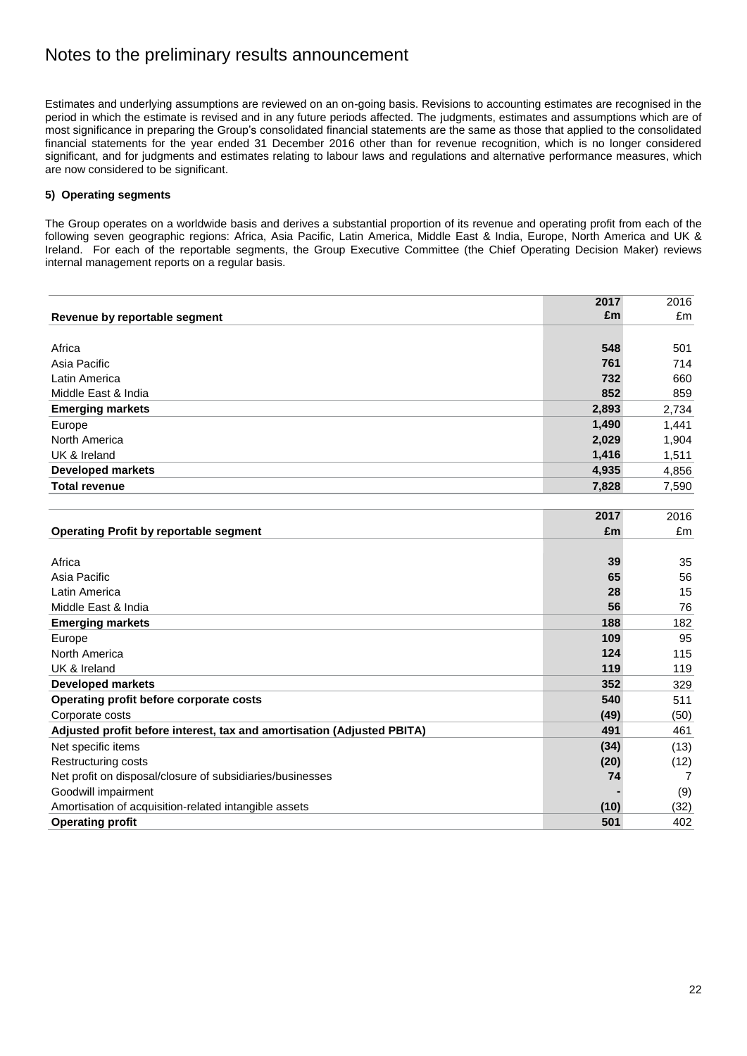Estimates and underlying assumptions are reviewed on an on-going basis. Revisions to accounting estimates are recognised in the period in which the estimate is revised and in any future periods affected. The judgments, estimates and assumptions which are of most significance in preparing the Group"s consolidated financial statements are the same as those that applied to the consolidated financial statements for the year ended 31 December 2016 other than for revenue recognition, which is no longer considered significant, and for judgments and estimates relating to labour laws and regulations and alternative performance measures, which are now considered to be significant.

# **5) Operating segments**

The Group operates on a worldwide basis and derives a substantial proportion of its revenue and operating profit from each of the following seven geographic regions: Africa, Asia Pacific, Latin America, Middle East & India, Europe, North America and UK & Ireland. For each of the reportable segments, the Group Executive Committee (the Chief Operating Decision Maker) reviews internal management reports on a regular basis.

|                                                                        | 2017  | 2016  |
|------------------------------------------------------------------------|-------|-------|
| Revenue by reportable segment                                          | £m    | £m    |
|                                                                        |       |       |
| Africa                                                                 | 548   | 501   |
| Asia Pacific                                                           | 761   | 714   |
| Latin America                                                          | 732   | 660   |
| Middle East & India                                                    | 852   | 859   |
| <b>Emerging markets</b>                                                | 2,893 | 2,734 |
| Europe                                                                 | 1,490 | 1,441 |
| North America                                                          | 2,029 | 1,904 |
| UK & Ireland                                                           | 1,416 | 1,511 |
| <b>Developed markets</b>                                               | 4,935 | 4,856 |
| <b>Total revenue</b>                                                   | 7,828 | 7,590 |
|                                                                        |       |       |
|                                                                        | 2017  | 2016  |
| <b>Operating Profit by reportable segment</b>                          | £m    | £m    |
|                                                                        |       |       |
| Africa                                                                 | 39    | 35    |
| Asia Pacific                                                           | 65    | 56    |
| Latin America                                                          | 28    | 15    |
| Middle East & India                                                    | 56    | 76    |
| <b>Emerging markets</b>                                                | 188   | 182   |
| Europe                                                                 | 109   | 95    |
| North America                                                          | 124   | 115   |
| UK & Ireland                                                           | 119   | 119   |
| <b>Developed markets</b>                                               | 352   | 329   |
| Operating profit before corporate costs                                | 540   | 511   |
| Corporate costs                                                        | (49)  | (50)  |
| Adjusted profit before interest, tax and amortisation (Adjusted PBITA) | 491   | 461   |
| Net specific items                                                     | (34)  | (13)  |
| Restructuring costs                                                    | (20)  | (12)  |
| Net profit on disposal/closure of subsidiaries/businesses              | 74    | 7     |
| Goodwill impairment                                                    |       | (9)   |
| Amortisation of acquisition-related intangible assets                  | (10)  | (32)  |
| <b>Operating profit</b>                                                | 501   | 402   |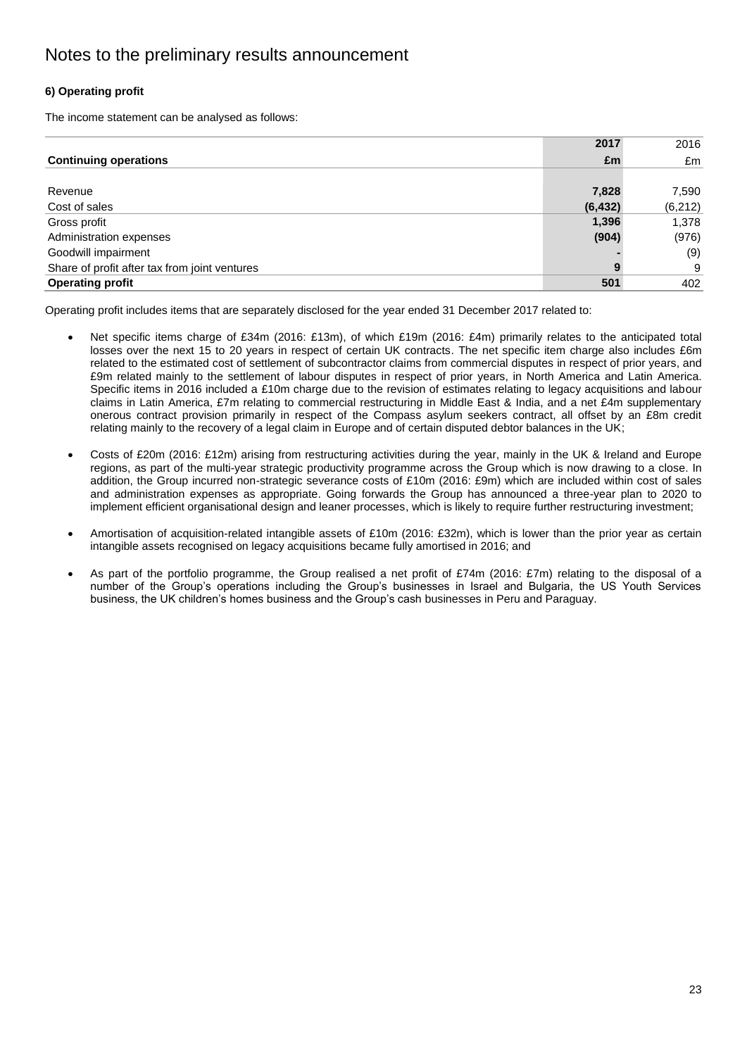# **6) Operating profit**

The income statement can be analysed as follows:

|                                               | 2017     | 2016     |
|-----------------------------------------------|----------|----------|
| <b>Continuing operations</b>                  | £m       | £m       |
|                                               |          |          |
| Revenue                                       | 7,828    | 7,590    |
| Cost of sales                                 | (6, 432) | (6, 212) |
| Gross profit                                  | 1,396    | 1,378    |
| Administration expenses                       | (904)    | (976)    |
| Goodwill impairment                           |          | (9)      |
| Share of profit after tax from joint ventures | 9        | 9        |
| <b>Operating profit</b>                       | 501      | 402      |

Operating profit includes items that are separately disclosed for the year ended 31 December 2017 related to:

- Net specific items charge of £34m (2016: £13m), of which £19m (2016: £4m) primarily relates to the anticipated total losses over the next 15 to 20 years in respect of certain UK contracts. The net specific item charge also includes £6m related to the estimated cost of settlement of subcontractor claims from commercial disputes in respect of prior years, and £9m related mainly to the settlement of labour disputes in respect of prior years, in North America and Latin America. Specific items in 2016 included a £10m charge due to the revision of estimates relating to legacy acquisitions and labour claims in Latin America, £7m relating to commercial restructuring in Middle East & India, and a net £4m supplementary onerous contract provision primarily in respect of the Compass asylum seekers contract, all offset by an £8m credit relating mainly to the recovery of a legal claim in Europe and of certain disputed debtor balances in the UK;
- Costs of £20m (2016: £12m) arising from restructuring activities during the year, mainly in the UK & Ireland and Europe regions, as part of the multi-year strategic productivity programme across the Group which is now drawing to a close. In addition, the Group incurred non-strategic severance costs of £10m (2016: £9m) which are included within cost of sales and administration expenses as appropriate. Going forwards the Group has announced a three-year plan to 2020 to implement efficient organisational design and leaner processes, which is likely to require further restructuring investment;
- Amortisation of acquisition-related intangible assets of £10m (2016: £32m), which is lower than the prior year as certain intangible assets recognised on legacy acquisitions became fully amortised in 2016; and
- As part of the portfolio programme, the Group realised a net profit of £74m (2016: £7m) relating to the disposal of a number of the Group"s operations including the Group"s businesses in Israel and Bulgaria, the US Youth Services business, the UK children"s homes business and the Group"s cash businesses in Peru and Paraguay.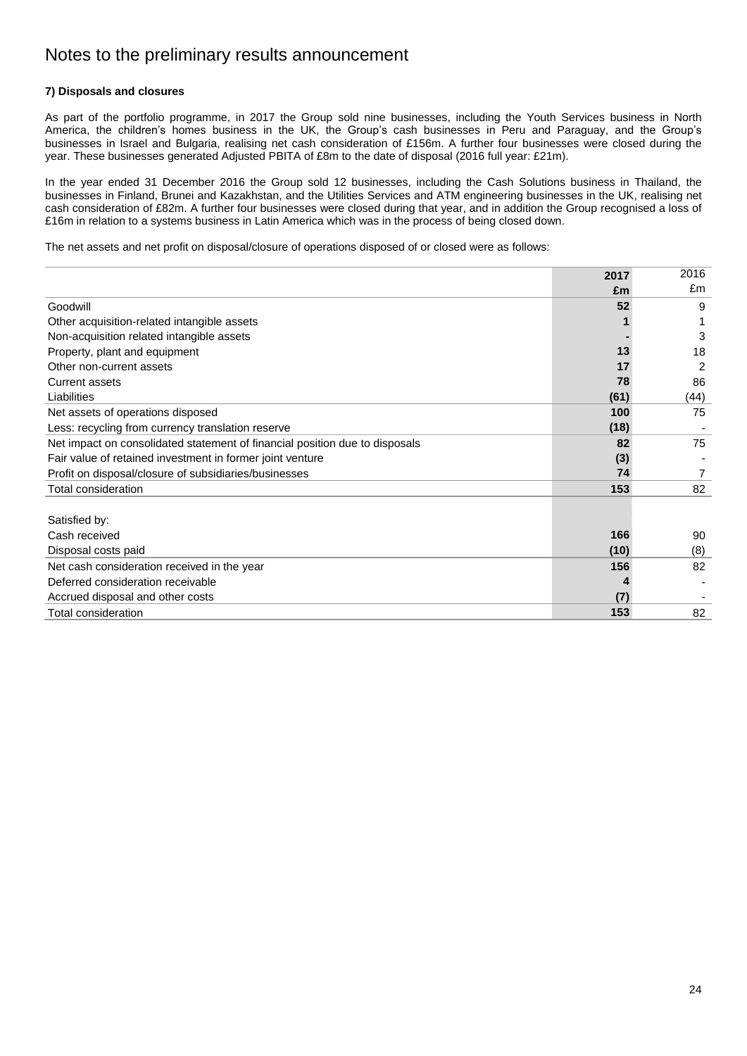# **7) Disposals and closures**

As part of the portfolio programme, in 2017 the Group sold nine businesses, including the Youth Services business in North America, the children"s homes business in the UK, the Group"s cash businesses in Peru and Paraguay, and the Group"s businesses in Israel and Bulgaria, realising net cash consideration of £156m. A further four businesses were closed during the year. These businesses generated Adjusted PBITA of £8m to the date of disposal (2016 full year: £21m).

In the year ended 31 December 2016 the Group sold 12 businesses, including the Cash Solutions business in Thailand, the businesses in Finland, Brunei and Kazakhstan, and the Utilities Services and ATM engineering businesses in the UK, realising net cash consideration of £82m. A further four businesses were closed during that year, and in addition the Group recognised a loss of £16m in relation to a systems business in Latin America which was in the process of being closed down.

The net assets and net profit on disposal/closure of operations disposed of or closed were as follows:

|                                                                             | 2017 | 2016 |
|-----------------------------------------------------------------------------|------|------|
|                                                                             | £m   | £m   |
| Goodwill                                                                    | 52   | 9    |
| Other acquisition-related intangible assets                                 |      |      |
| Non-acquisition related intangible assets                                   |      | 3    |
| Property, plant and equipment                                               | 13   | 18   |
| Other non-current assets                                                    | 17   | 2    |
| <b>Current assets</b>                                                       | 78   | 86   |
| Liabilities                                                                 | (61) | (44) |
| Net assets of operations disposed                                           | 100  | 75   |
| Less: recycling from currency translation reserve                           | (18) |      |
| Net impact on consolidated statement of financial position due to disposals | 82   | 75   |
| Fair value of retained investment in former joint venture                   | (3)  |      |
| Profit on disposal/closure of subsidiaries/businesses                       | 74   | 7    |
| Total consideration                                                         | 153  | 82   |
|                                                                             |      |      |
| Satisfied by:                                                               |      |      |
| Cash received                                                               | 166  | 90   |
| Disposal costs paid                                                         | (10) | (8)  |
| Net cash consideration received in the year                                 | 156  | 82   |
| Deferred consideration receivable                                           |      |      |
| Accrued disposal and other costs                                            | (7)  |      |
| Total consideration                                                         | 153  | 82   |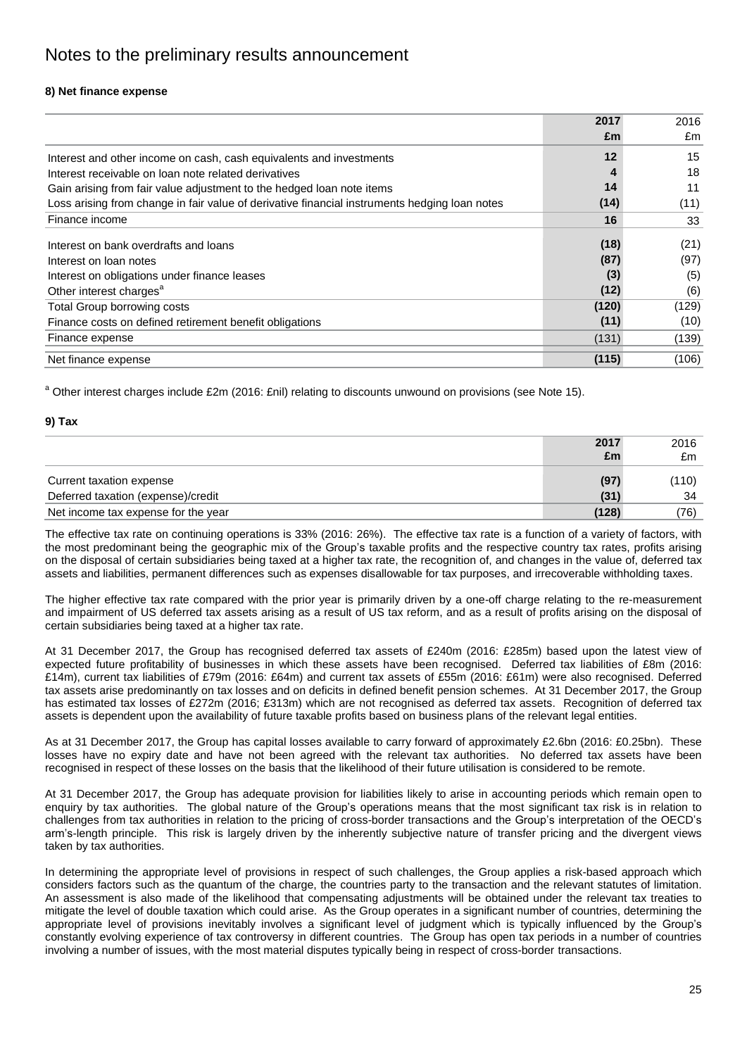# **8) Net finance expense**

|                                                                                               | 2017  | 2016  |
|-----------------------------------------------------------------------------------------------|-------|-------|
|                                                                                               | £m    | £m    |
| Interest and other income on cash, cash equivalents and investments                           | 12    | 15    |
| Interest receivable on loan note related derivatives                                          | 4     | 18    |
| Gain arising from fair value adjustment to the hedged loan note items                         | 14    | 11    |
| Loss arising from change in fair value of derivative financial instruments hedging loan notes | (14)  | (11)  |
| Finance income                                                                                | 16    | 33    |
| Interest on bank overdrafts and loans                                                         | (18)  | (21)  |
| Interest on loan notes                                                                        | (87)  | (97)  |
| Interest on obligations under finance leases                                                  | (3)   | (5)   |
| Other interest charges <sup>a</sup>                                                           | (12)  | (6)   |
| Total Group borrowing costs                                                                   | (120) | (129) |
| Finance costs on defined retirement benefit obligations                                       | (11)  | (10)  |
| Finance expense                                                                               | (131) | (139) |
| Net finance expense                                                                           | (115) | (106) |

<sup>a</sup> Other interest charges include £2m (2016: £nil) relating to discounts unwound on provisions (see Note 15).

### **9) Tax**

|                                     | 2017  | 2016  |
|-------------------------------------|-------|-------|
|                                     | £m    | £m    |
| Current taxation expense            | (97)  | (110) |
| Deferred taxation (expense)/credit  | (31)  | 34    |
| Net income tax expense for the year | (128) | (76)  |

The effective tax rate on continuing operations is 33% (2016: 26%). The effective tax rate is a function of a variety of factors, with the most predominant being the geographic mix of the Group"s taxable profits and the respective country tax rates, profits arising on the disposal of certain subsidiaries being taxed at a higher tax rate, the recognition of, and changes in the value of, deferred tax assets and liabilities, permanent differences such as expenses disallowable for tax purposes, and irrecoverable withholding taxes.

The higher effective tax rate compared with the prior year is primarily driven by a one-off charge relating to the re-measurement and impairment of US deferred tax assets arising as a result of US tax reform, and as a result of profits arising on the disposal of certain subsidiaries being taxed at a higher tax rate.

At 31 December 2017, the Group has recognised deferred tax assets of £240m (2016: £285m) based upon the latest view of expected future profitability of businesses in which these assets have been recognised. Deferred tax liabilities of £8m (2016: £14m), current tax liabilities of £79m (2016: £64m) and current tax assets of £55m (2016: £61m) were also recognised. Deferred tax assets arise predominantly on tax losses and on deficits in defined benefit pension schemes. At 31 December 2017, the Group has estimated tax losses of £272m (2016; £313m) which are not recognised as deferred tax assets. Recognition of deferred tax assets is dependent upon the availability of future taxable profits based on business plans of the relevant legal entities.

As at 31 December 2017, the Group has capital losses available to carry forward of approximately £2.6bn (2016: £0.25bn). These losses have no expiry date and have not been agreed with the relevant tax authorities. No deferred tax assets have been recognised in respect of these losses on the basis that the likelihood of their future utilisation is considered to be remote.

At 31 December 2017, the Group has adequate provision for liabilities likely to arise in accounting periods which remain open to enquiry by tax authorities. The global nature of the Group's operations means that the most significant tax risk is in relation to challenges from tax authorities in relation to the pricing of cross-border transactions and the Group"s interpretation of the OECD"s arm"s-length principle. This risk is largely driven by the inherently subjective nature of transfer pricing and the divergent views taken by tax authorities.

In determining the appropriate level of provisions in respect of such challenges, the Group applies a risk-based approach which considers factors such as the quantum of the charge, the countries party to the transaction and the relevant statutes of limitation. An assessment is also made of the likelihood that compensating adjustments will be obtained under the relevant tax treaties to mitigate the level of double taxation which could arise. As the Group operates in a significant number of countries, determining the appropriate level of provisions inevitably involves a significant level of judgment which is typically influenced by the Group"s constantly evolving experience of tax controversy in different countries. The Group has open tax periods in a number of countries involving a number of issues, with the most material disputes typically being in respect of cross-border transactions.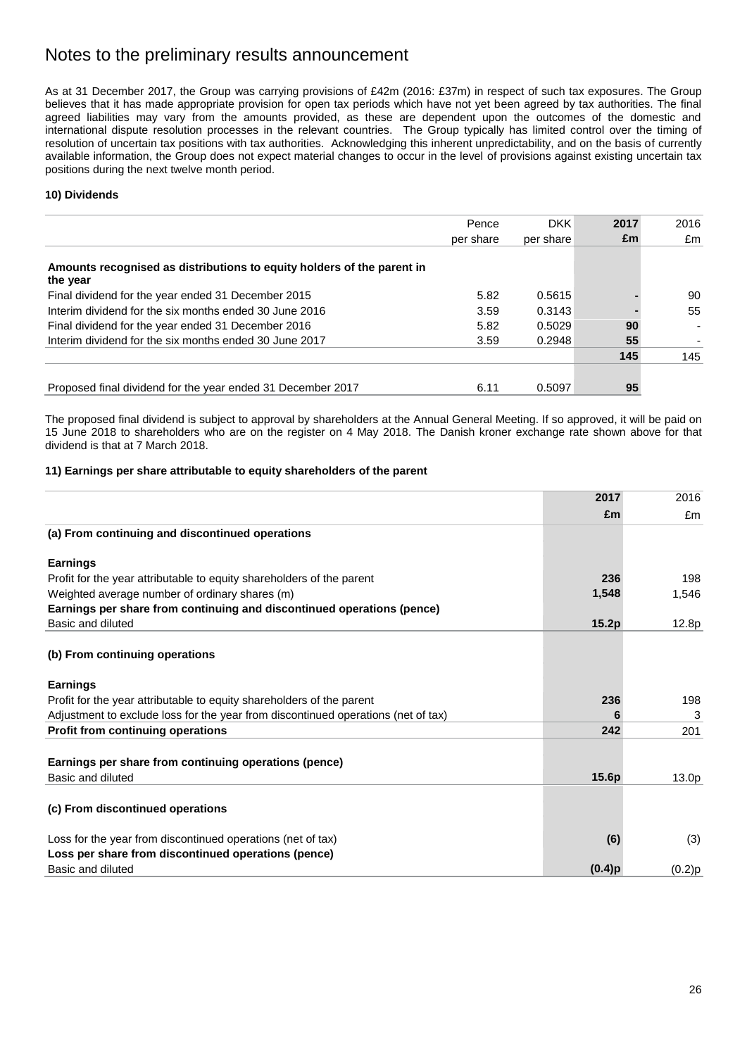As at 31 December 2017, the Group was carrying provisions of £42m (2016: £37m) in respect of such tax exposures. The Group believes that it has made appropriate provision for open tax periods which have not yet been agreed by tax authorities. The final agreed liabilities may vary from the amounts provided, as these are dependent upon the outcomes of the domestic and international dispute resolution processes in the relevant countries. The Group typically has limited control over the timing of resolution of uncertain tax positions with tax authorities. Acknowledging this inherent unpredictability, and on the basis of currently available information, the Group does not expect material changes to occur in the level of provisions against existing uncertain tax positions during the next twelve month period.

# **10) Dividends**

|                                                                                    | Pence     | <b>DKK</b> | 2017 | 2016 |
|------------------------------------------------------------------------------------|-----------|------------|------|------|
|                                                                                    | per share | per share  | £m   | £m   |
| Amounts recognised as distributions to equity holders of the parent in<br>the year |           |            |      |      |
| Final dividend for the year ended 31 December 2015                                 | 5.82      | 0.5615     |      | 90   |
| Interim dividend for the six months ended 30 June 2016                             | 3.59      | 0.3143     |      | 55   |
| Final dividend for the year ended 31 December 2016                                 | 5.82      | 0.5029     | 90   | ۰    |
| Interim dividend for the six months ended 30 June 2017                             | 3.59      | 0.2948     | 55   |      |
|                                                                                    |           |            | 145  | 145  |
|                                                                                    |           |            |      |      |
| Proposed final dividend for the year ended 31 December 2017                        | 6.11      | 0.5097     | 95   |      |

The proposed final dividend is subject to approval by shareholders at the Annual General Meeting. If so approved, it will be paid on 15 June 2018 to shareholders who are on the register on 4 May 2018. The Danish kroner exchange rate shown above for that dividend is that at 7 March 2018.

# **11) Earnings per share attributable to equity shareholders of the parent**

|                                                                                   | 2017      | 2016   |
|-----------------------------------------------------------------------------------|-----------|--------|
|                                                                                   | £m        | £m     |
| (a) From continuing and discontinued operations                                   |           |        |
| <b>Earnings</b>                                                                   |           |        |
| Profit for the year attributable to equity shareholders of the parent             | 236       | 198    |
| Weighted average number of ordinary shares (m)                                    | 1,548     | 1,546  |
| Earnings per share from continuing and discontinued operations (pence)            |           |        |
| Basic and diluted                                                                 | 15.2p     | 12.8p  |
| (b) From continuing operations                                                    |           |        |
| <b>Earnings</b>                                                                   |           |        |
| Profit for the year attributable to equity shareholders of the parent             | 236       | 198    |
| Adjustment to exclude loss for the year from discontinued operations (net of tax) | 6         | 3      |
| <b>Profit from continuing operations</b>                                          | 242       | 201    |
| Earnings per share from continuing operations (pence)                             |           |        |
| Basic and diluted                                                                 | 15.6p     | 13.0p  |
| (c) From discontinued operations                                                  |           |        |
| Loss for the year from discontinued operations (net of tax)                       | (6)       | (3)    |
| Loss per share from discontinued operations (pence)                               |           |        |
| Basic and diluted                                                                 | $(0.4)$ p | (0.2)p |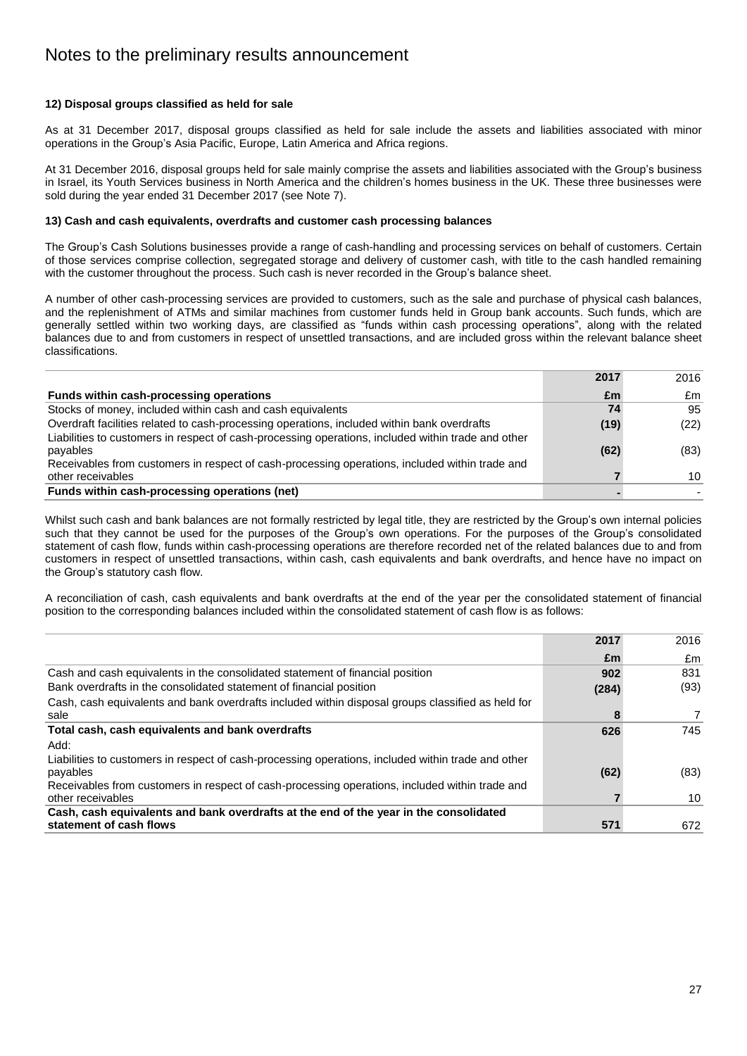# **12) Disposal groups classified as held for sale**

As at 31 December 2017, disposal groups classified as held for sale include the assets and liabilities associated with minor operations in the Group"s Asia Pacific, Europe, Latin America and Africa regions.

At 31 December 2016, disposal groups held for sale mainly comprise the assets and liabilities associated with the Group"s business in Israel, its Youth Services business in North America and the children"s homes business in the UK. These three businesses were sold during the year ended 31 December 2017 (see Note 7).

### **13) Cash and cash equivalents, overdrafts and customer cash processing balances**

The Group's Cash Solutions businesses provide a range of cash-handling and processing services on behalf of customers. Certain of those services comprise collection, segregated storage and delivery of customer cash, with title to the cash handled remaining with the customer throughout the process. Such cash is never recorded in the Group"s balance sheet.

A number of other cash-processing services are provided to customers, such as the sale and purchase of physical cash balances, and the replenishment of ATMs and similar machines from customer funds held in Group bank accounts. Such funds, which are generally settled within two working days, are classified as "funds within cash processing operations", along with the related balances due to and from customers in respect of unsettled transactions, and are included gross within the relevant balance sheet classifications.

|                                                                                                    | 2017 | 2016 |
|----------------------------------------------------------------------------------------------------|------|------|
| Funds within cash-processing operations                                                            | £m   | £m   |
| Stocks of money, included within cash and cash equivalents                                         | 74   | 95   |
| Overdraft facilities related to cash-processing operations, included within bank overdrafts        | (19) | (22) |
| Liabilities to customers in respect of cash-processing operations, included within trade and other |      |      |
| payables                                                                                           | (62) | (83) |
| Receivables from customers in respect of cash-processing operations, included within trade and     |      |      |
| other receivables                                                                                  |      | 10   |
| Funds within cash-processing operations (net)                                                      |      |      |

Whilst such cash and bank balances are not formally restricted by legal title, they are restricted by the Group's own internal policies such that they cannot be used for the purposes of the Group"s own operations. For the purposes of the Group"s consolidated statement of cash flow, funds within cash-processing operations are therefore recorded net of the related balances due to and from customers in respect of unsettled transactions, within cash, cash equivalents and bank overdrafts, and hence have no impact on the Group"s statutory cash flow.

A reconciliation of cash, cash equivalents and bank overdrafts at the end of the year per the consolidated statement of financial position to the corresponding balances included within the consolidated statement of cash flow is as follows:

|                                                                                                    | 2017  | 2016 |
|----------------------------------------------------------------------------------------------------|-------|------|
|                                                                                                    | £m    | £m   |
| Cash and cash equivalents in the consolidated statement of financial position                      | 902   | 831  |
| Bank overdrafts in the consolidated statement of financial position                                | (284) | (93) |
| Cash, cash equivalents and bank overdrafts included within disposal groups classified as held for  |       |      |
| sale                                                                                               | 8     |      |
| Total cash, cash equivalents and bank overdrafts                                                   | 626   | 745  |
| Add:                                                                                               |       |      |
| Liabilities to customers in respect of cash-processing operations, included within trade and other |       |      |
| payables                                                                                           | (62)  | (83) |
| Receivables from customers in respect of cash-processing operations, included within trade and     |       |      |
| other receivables                                                                                  |       | 10   |
| Cash, cash equivalents and bank overdrafts at the end of the year in the consolidated              |       |      |
| statement of cash flows                                                                            | 571   | 672  |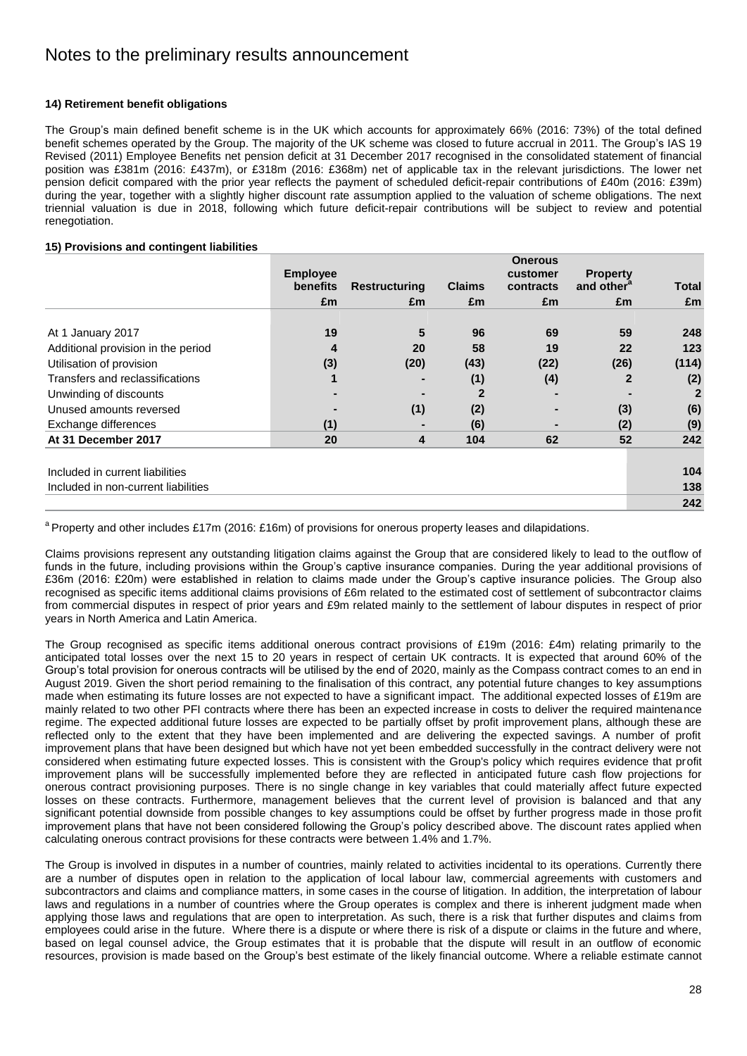# **14) Retirement benefit obligations**

The Group's main defined benefit scheme is in the UK which accounts for approximately 66% (2016: 73%) of the total defined benefit schemes operated by the Group. The majority of the UK scheme was closed to future accrual in 2011. The Group"s IAS 19 Revised (2011) Employee Benefits net pension deficit at 31 December 2017 recognised in the consolidated statement of financial position was £381m (2016: £437m), or £318m (2016: £368m) net of applicable tax in the relevant jurisdictions. The lower net pension deficit compared with the prior year reflects the payment of scheduled deficit-repair contributions of £40m (2016: £39m) during the year, together with a slightly higher discount rate assumption applied to the valuation of scheme obligations. The next triennial valuation is due in 2018, following which future deficit-repair contributions will be subject to review and potential renegotiation.

# **15) Provisions and contingent liabilities**

|                                     | <b>Employee</b> |                      |               | <b>Onerous</b><br>customer | <b>Property</b>        |       |
|-------------------------------------|-----------------|----------------------|---------------|----------------------------|------------------------|-------|
|                                     | <b>benefits</b> | <b>Restructuring</b> | <b>Claims</b> | contracts                  | and other <sup>a</sup> | Total |
|                                     | £m              | £m                   | £m            | £m                         | £m                     | £m    |
| At 1 January 2017                   | 19              | 5                    | 96            | 69                         | 59                     | 248   |
| Additional provision in the period  | 4               | 20                   | 58            | 19                         | 22                     | 123   |
| Utilisation of provision            | (3)             | (20)                 | (43)          | (22)                       | (26)                   | (114) |
| Transfers and reclassifications     | 1               |                      | (1)           | (4)                        | $\mathbf{2}$           | (2)   |
| Unwinding of discounts              |                 |                      |               |                            |                        | 2     |
| Unused amounts reversed             |                 | (1)                  | (2)           |                            | (3)                    | (6)   |
| Exchange differences                | (1)             |                      | (6)           |                            | (2)                    | (9)   |
| At 31 December 2017                 | 20              | 4                    | 104           | 62                         | 52                     | 242   |
| Included in current liabilities     |                 |                      |               |                            |                        | 104   |
| Included in non-current liabilities |                 |                      |               |                            |                        | 138   |
|                                     |                 |                      |               |                            |                        | 242   |

<sup>a</sup> Property and other includes £17m (2016: £16m) of provisions for onerous property leases and dilapidations.

Claims provisions represent any outstanding litigation claims against the Group that are considered likely to lead to the outflow of funds in the future, including provisions within the Group's captive insurance companies. During the year additional provisions of £36m (2016: £20m) were established in relation to claims made under the Group"s captive insurance policies. The Group also recognised as specific items additional claims provisions of £6m related to the estimated cost of settlement of subcontractor claims from commercial disputes in respect of prior years and £9m related mainly to the settlement of labour disputes in respect of prior years in North America and Latin America.

The Group recognised as specific items additional onerous contract provisions of £19m (2016: £4m) relating primarily to the anticipated total losses over the next 15 to 20 years in respect of certain UK contracts. It is expected that around 60% of the Group"s total provision for onerous contracts will be utilised by the end of 2020, mainly as the Compass contract comes to an end in August 2019. Given the short period remaining to the finalisation of this contract, any potential future changes to key assumptions made when estimating its future losses are not expected to have a significant impact. The additional expected losses of £19m are mainly related to two other PFI contracts where there has been an expected increase in costs to deliver the required maintenance regime. The expected additional future losses are expected to be partially offset by profit improvement plans, although these are reflected only to the extent that they have been implemented and are delivering the expected savings. A number of profit improvement plans that have been designed but which have not yet been embedded successfully in the contract delivery were not considered when estimating future expected losses. This is consistent with the Group's policy which requires evidence that profit improvement plans will be successfully implemented before they are reflected in anticipated future cash flow projections for onerous contract provisioning purposes. There is no single change in key variables that could materially affect future expected losses on these contracts. Furthermore, management believes that the current level of provision is balanced and that any significant potential downside from possible changes to key assumptions could be offset by further progress made in those profit improvement plans that have not been considered following the Group"s policy described above. The discount rates applied when calculating onerous contract provisions for these contracts were between 1.4% and 1.7%.

The Group is involved in disputes in a number of countries, mainly related to activities incidental to its operations. Currently there are a number of disputes open in relation to the application of local labour law, commercial agreements with customers and subcontractors and claims and compliance matters, in some cases in the course of litigation. In addition, the interpretation of labour laws and regulations in a number of countries where the Group operates is complex and there is inherent judgment made when applying those laws and regulations that are open to interpretation. As such, there is a risk that further disputes and claims from employees could arise in the future. Where there is a dispute or where there is risk of a dispute or claims in the future and where, based on legal counsel advice, the Group estimates that it is probable that the dispute will result in an outflow of economic resources, provision is made based on the Group"s best estimate of the likely financial outcome. Where a reliable estimate cannot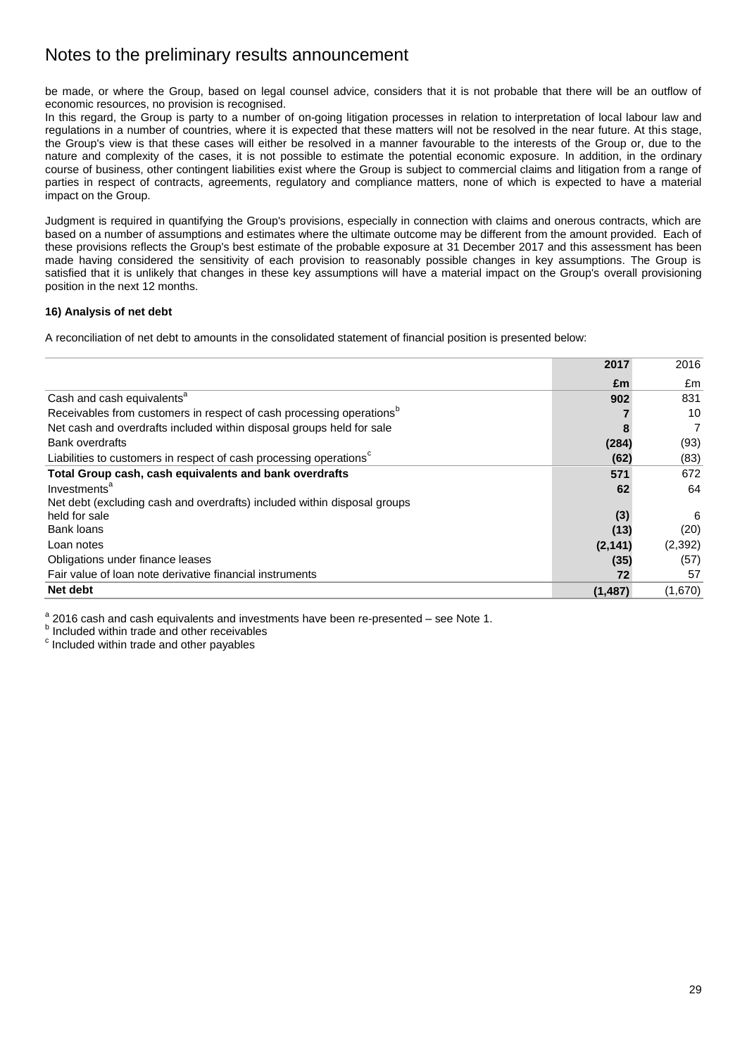be made, or where the Group, based on legal counsel advice, considers that it is not probable that there will be an outflow of economic resources, no provision is recognised.

In this regard, the Group is party to a number of on-going litigation processes in relation to interpretation of local labour law and regulations in a number of countries, where it is expected that these matters will not be resolved in the near future. At this stage, the Group's view is that these cases will either be resolved in a manner favourable to the interests of the Group or, due to the nature and complexity of the cases, it is not possible to estimate the potential economic exposure. In addition, in the ordinary course of business, other contingent liabilities exist where the Group is subject to commercial claims and litigation from a range of parties in respect of contracts, agreements, regulatory and compliance matters, none of which is expected to have a material impact on the Group.

Judgment is required in quantifying the Group's provisions, especially in connection with claims and onerous contracts, which are based on a number of assumptions and estimates where the ultimate outcome may be different from the amount provided. Each of these provisions reflects the Group's best estimate of the probable exposure at 31 December 2017 and this assessment has been made having considered the sensitivity of each provision to reasonably possible changes in key assumptions. The Group is satisfied that it is unlikely that changes in these key assumptions will have a material impact on the Group's overall provisioning position in the next 12 months.

# **16) Analysis of net debt**

A reconciliation of net debt to amounts in the consolidated statement of financial position is presented below:

|                                                                                  | 2017     | 2016           |
|----------------------------------------------------------------------------------|----------|----------------|
|                                                                                  | £m       | £m             |
| Cash and cash equivalents <sup>a</sup>                                           | 902      | 831            |
| Receivables from customers in respect of cash processing operations <sup>b</sup> |          | 10             |
| Net cash and overdrafts included within disposal groups held for sale            | 8        | $\overline{7}$ |
| <b>Bank overdrafts</b>                                                           | (284)    | (93)           |
| Liabilities to customers in respect of cash processing operations <sup>c</sup>   | (62)     | (83)           |
| Total Group cash, cash equivalents and bank overdrafts                           | 571      | 672            |
| Investments <sup>a</sup>                                                         | 62       | 64             |
| Net debt (excluding cash and overdrafts) included within disposal groups         |          |                |
| held for sale                                                                    | (3)      | 6              |
| Bank loans                                                                       | (13)     | (20)           |
| Loan notes                                                                       | (2, 141) | (2, 392)       |
| Obligations under finance leases                                                 | (35)     | (57)           |
| Fair value of loan note derivative financial instruments                         | 72       | 57             |
| Net debt                                                                         | (1, 487) | (1,670)        |

 $\frac{a}{c}$  2016 cash and cash equivalents and investments have been re-presented – see Note 1.

**b** Included within trade and other receivables

c Included within trade and other payables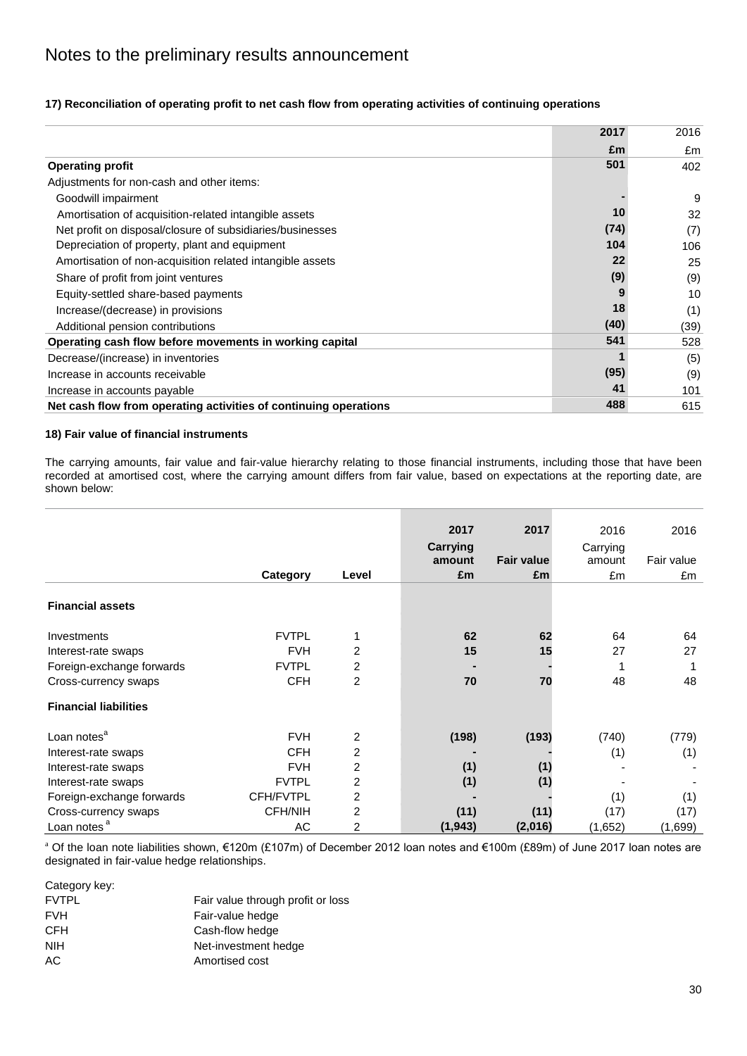|                                                                  | 2017 | 2016 |
|------------------------------------------------------------------|------|------|
|                                                                  | £m   | £m   |
| <b>Operating profit</b>                                          | 501  | 402  |
| Adjustments for non-cash and other items:                        |      |      |
| Goodwill impairment                                              |      | 9    |
| Amortisation of acquisition-related intangible assets            | 10   | 32   |
| Net profit on disposal/closure of subsidiaries/businesses        | (74) | (7)  |
| Depreciation of property, plant and equipment                    | 104  | 106  |
| Amortisation of non-acquisition related intangible assets        | 22   | 25   |
| Share of profit from joint ventures                              | (9)  | (9)  |
| Equity-settled share-based payments                              |      | 10   |
| Increase/(decrease) in provisions                                | 18   | (1)  |
| Additional pension contributions                                 | (40) | (39) |
| Operating cash flow before movements in working capital          | 541  | 528  |
| Decrease/(increase) in inventories                               |      | (5)  |
| Increase in accounts receivable                                  | (95) | (9)  |
| Increase in accounts payable                                     | 41   | 101  |
| Net cash flow from operating activities of continuing operations | 488  | 615  |

# **17) Reconciliation of operating profit to net cash flow from operating activities of continuing operations**

# **18) Fair value of financial instruments**

The carrying amounts, fair value and fair-value hierarchy relating to those financial instruments, including those that have been recorded at amortised cost, where the carrying amount differs from fair value, based on expectations at the reporting date, are shown below:

|                              |              |                | 2017<br>Carrying<br>amount | 2017<br><b>Fair value</b> | 2016<br>Carrying<br>amount | 2016<br>Fair value |
|------------------------------|--------------|----------------|----------------------------|---------------------------|----------------------------|--------------------|
|                              | Category     | Level          | £m                         | £m                        | £m                         | £m                 |
| <b>Financial assets</b>      |              |                |                            |                           |                            |                    |
| Investments                  | <b>FVTPL</b> |                | 62                         | 62                        | 64                         | 64                 |
| Interest-rate swaps          | <b>FVH</b>   | 2              | 15                         | 15                        | 27                         | 27                 |
| Foreign-exchange forwards    | <b>FVTPL</b> | 2              |                            |                           |                            |                    |
| Cross-currency swaps         | <b>CFH</b>   | $\overline{2}$ | 70                         | 70                        | 48                         | 48                 |
| <b>Financial liabilities</b> |              |                |                            |                           |                            |                    |
| Loan notes <sup>a</sup>      | <b>FVH</b>   | 2              | (198)                      | (193)                     | (740)                      | (779)              |
| Interest-rate swaps          | <b>CFH</b>   | 2              |                            |                           | (1)                        | (1)                |
| Interest-rate swaps          | <b>FVH</b>   | 2              | (1)                        | (1)                       |                            |                    |
| Interest-rate swaps          | <b>FVTPL</b> | 2              | (1)                        | (1)                       |                            |                    |
| Foreign-exchange forwards    | CFH/FVTPL    | 2              |                            |                           | (1)                        | (1)                |
| Cross-currency swaps         | CFH/NIH      | 2              | (11)                       | (11)                      | (17)                       | (17)               |
| Loan notes <sup>a</sup>      | AC           | 2              | (1, 943)                   | (2,016)                   | (1,652)                    | (1,699)            |

<sup>a</sup> Of the loan note liabilities shown, €120m (£107m) of December 2012 loan notes and €100m (£89m) of June 2017 loan notes are designated in fair-value hedge relationships.

Category key: FVTPL FVTPL FAIR FAIR Value through profit or loss FVH Fair-value hedge CFH Cash-flow hedge NIH Net-investment hedge AC Amortised cost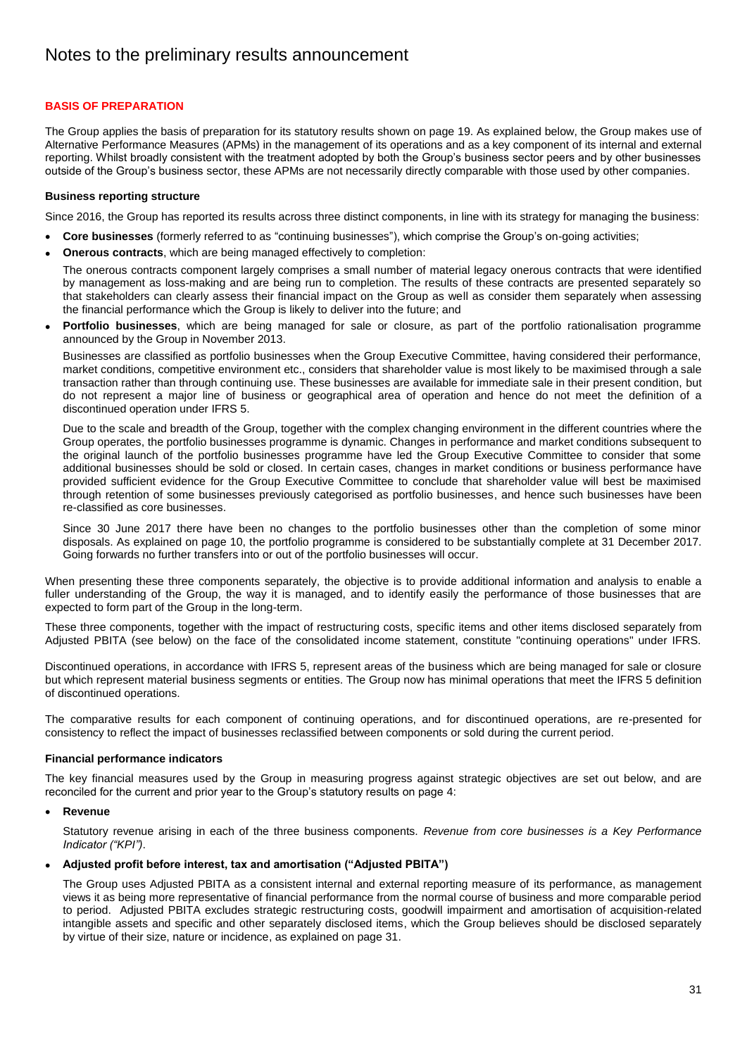# **BASIS OF PREPARATION**

The Group applies the basis of preparation for its statutory results shown on page 19. As explained below, the Group makes use of Alternative Performance Measures (APMs) in the management of its operations and as a key component of its internal and external reporting. Whilst broadly consistent with the treatment adopted by both the Group"s business sector peers and by other businesses outside of the Group"s business sector, these APMs are not necessarily directly comparable with those used by other companies.

### **Business reporting structure**

Since 2016, the Group has reported its results across three distinct components, in line with its strategy for managing the business:

- **Core businesses** (formerly referred to as "continuing businesses"), which comprise the Group's on-going activities:
- **Onerous contracts**, which are being managed effectively to completion:

The onerous contracts component largely comprises a small number of material legacy onerous contracts that were identified by management as loss-making and are being run to completion. The results of these contracts are presented separately so that stakeholders can clearly assess their financial impact on the Group as well as consider them separately when assessing the financial performance which the Group is likely to deliver into the future; and

 **Portfolio businesses**, which are being managed for sale or closure, as part of the portfolio rationalisation programme announced by the Group in November 2013.

Businesses are classified as portfolio businesses when the Group Executive Committee, having considered their performance, market conditions, competitive environment etc., considers that shareholder value is most likely to be maximised through a sale transaction rather than through continuing use. These businesses are available for immediate sale in their present condition, but do not represent a major line of business or geographical area of operation and hence do not meet the definition of a discontinued operation under IFRS 5.

Due to the scale and breadth of the Group, together with the complex changing environment in the different countries where the Group operates, the portfolio businesses programme is dynamic. Changes in performance and market conditions subsequent to the original launch of the portfolio businesses programme have led the Group Executive Committee to consider that some additional businesses should be sold or closed. In certain cases, changes in market conditions or business performance have provided sufficient evidence for the Group Executive Committee to conclude that shareholder value will best be maximised through retention of some businesses previously categorised as portfolio businesses, and hence such businesses have been re-classified as core businesses.

Since 30 June 2017 there have been no changes to the portfolio businesses other than the completion of some minor disposals. As explained on page 10, the portfolio programme is considered to be substantially complete at 31 December 2017. Going forwards no further transfers into or out of the portfolio businesses will occur.

When presenting these three components separately, the objective is to provide additional information and analysis to enable a fuller understanding of the Group, the way it is managed, and to identify easily the performance of those businesses that are expected to form part of the Group in the long-term.

These three components, together with the impact of restructuring costs, specific items and other items disclosed separately from Adjusted PBITA (see below) on the face of the consolidated income statement, constitute "continuing operations" under IFRS.

Discontinued operations, in accordance with IFRS 5, represent areas of the business which are being managed for sale or closure but which represent material business segments or entities. The Group now has minimal operations that meet the IFRS 5 definition of discontinued operations.

The comparative results for each component of continuing operations, and for discontinued operations, are re-presented for consistency to reflect the impact of businesses reclassified between components or sold during the current period.

# **Financial performance indicators**

The key financial measures used by the Group in measuring progress against strategic objectives are set out below, and are reconciled for the current and prior year to the Group"s statutory results on page 4:

### **Revenue**

Statutory revenue arising in each of the three business components. *Revenue from core businesses is a Key Performance Indicator ("KPI")*.

### **Adjusted profit before interest, tax and amortisation ("Adjusted PBITA")**

The Group uses Adjusted PBITA as a consistent internal and external reporting measure of its performance, as management views it as being more representative of financial performance from the normal course of business and more comparable period to period. Adjusted PBITA excludes strategic restructuring costs, goodwill impairment and amortisation of acquisition-related intangible assets and specific and other separately disclosed items, which the Group believes should be disclosed separately by virtue of their size, nature or incidence, as explained on page 31.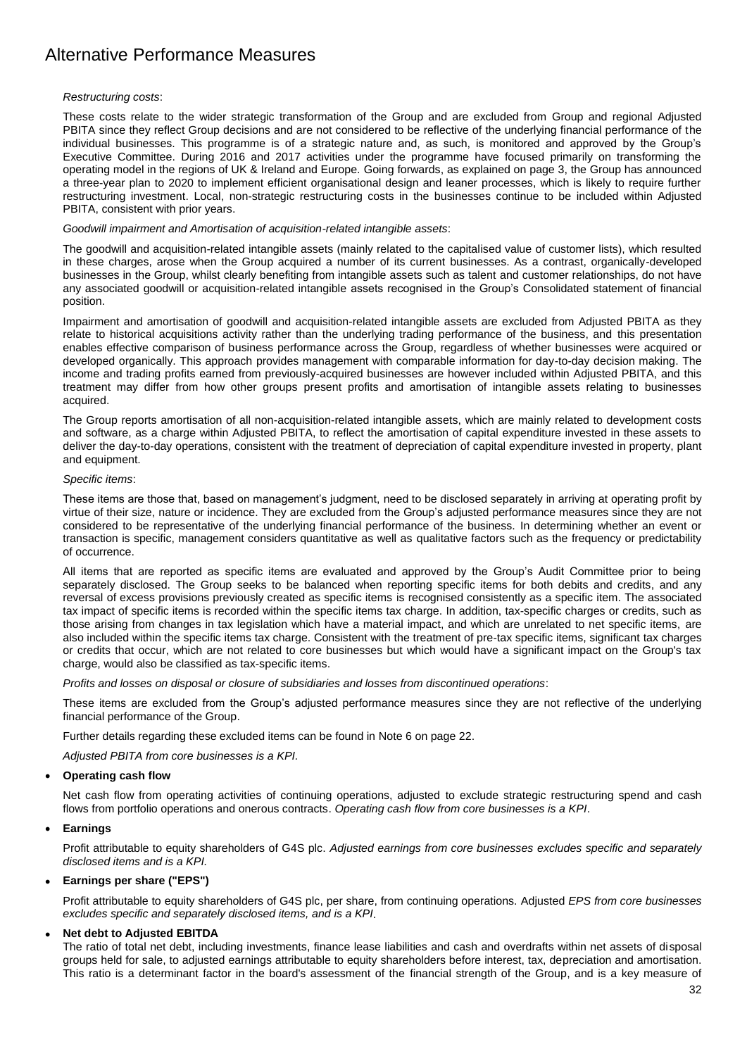### *Restructuring costs*:

These costs relate to the wider strategic transformation of the Group and are excluded from Group and regional Adjusted PBITA since they reflect Group decisions and are not considered to be reflective of the underlying financial performance of the individual businesses. This programme is of a strategic nature and, as such, is monitored and approved by the Group's Executive Committee. During 2016 and 2017 activities under the programme have focused primarily on transforming the operating model in the regions of UK & Ireland and Europe. Going forwards, as explained on page 3, the Group has announced a three-year plan to 2020 to implement efficient organisational design and leaner processes, which is likely to require further restructuring investment. Local, non-strategic restructuring costs in the businesses continue to be included within Adjusted PBITA, consistent with prior years.

### *Goodwill impairment and Amortisation of acquisition-related intangible assets*:

The goodwill and acquisition-related intangible assets (mainly related to the capitalised value of customer lists), which resulted in these charges, arose when the Group acquired a number of its current businesses. As a contrast, organically-developed businesses in the Group, whilst clearly benefiting from intangible assets such as talent and customer relationships, do not have any associated goodwill or acquisition-related intangible assets recognised in the Group"s Consolidated statement of financial position.

Impairment and amortisation of goodwill and acquisition-related intangible assets are excluded from Adjusted PBITA as they relate to historical acquisitions activity rather than the underlying trading performance of the business, and this presentation enables effective comparison of business performance across the Group, regardless of whether businesses were acquired or developed organically. This approach provides management with comparable information for day-to-day decision making. The income and trading profits earned from previously-acquired businesses are however included within Adjusted PBITA, and this treatment may differ from how other groups present profits and amortisation of intangible assets relating to businesses acquired.

The Group reports amortisation of all non-acquisition-related intangible assets, which are mainly related to development costs and software, as a charge within Adjusted PBITA, to reflect the amortisation of capital expenditure invested in these assets to deliver the day-to-day operations, consistent with the treatment of depreciation of capital expenditure invested in property, plant and equipment.

### *Specific items*:

These items are those that, based on management's judgment, need to be disclosed separately in arriving at operating profit by virtue of their size, nature or incidence. They are excluded from the Group"s adjusted performance measures since they are not considered to be representative of the underlying financial performance of the business. In determining whether an event or transaction is specific, management considers quantitative as well as qualitative factors such as the frequency or predictability of occurrence.

All items that are reported as specific items are evaluated and approved by the Group"s Audit Committee prior to being separately disclosed. The Group seeks to be balanced when reporting specific items for both debits and credits, and any reversal of excess provisions previously created as specific items is recognised consistently as a specific item. The associated tax impact of specific items is recorded within the specific items tax charge. In addition, tax-specific charges or credits, such as those arising from changes in tax legislation which have a material impact, and which are unrelated to net specific items, are also included within the specific items tax charge. Consistent with the treatment of pre-tax specific items, significant tax charges or credits that occur, which are not related to core businesses but which would have a significant impact on the Group's tax charge, would also be classified as tax-specific items.

*Profits and losses on disposal or closure of subsidiaries and losses from discontinued operations*:

These items are excluded from the Group"s adjusted performance measures since they are not reflective of the underlying financial performance of the Group.

Further details regarding these excluded items can be found in Note 6 on page 22.

*Adjusted PBITA from core businesses is a KPI.*

### **Operating cash flow**

Net cash flow from operating activities of continuing operations, adjusted to exclude strategic restructuring spend and cash flows from portfolio operations and onerous contracts. *Operating cash flow from core businesses is a KPI*.

### **Earnings**

Profit attributable to equity shareholders of G4S plc. *Adjusted earnings from core businesses excludes specific and separately disclosed items and is a KPI.*

### **Earnings per share ("EPS")**

Profit attributable to equity shareholders of G4S plc, per share, from continuing operations. Adjusted *EPS from core businesses excludes specific and separately disclosed items, and is a KPI*.

### **Net debt to Adjusted EBITDA**

The ratio of total net debt, including investments, finance lease liabilities and cash and overdrafts within net assets of disposal groups held for sale, to adjusted earnings attributable to equity shareholders before interest, tax, depreciation and amortisation. This ratio is a determinant factor in the board's assessment of the financial strength of the Group, and is a key measure of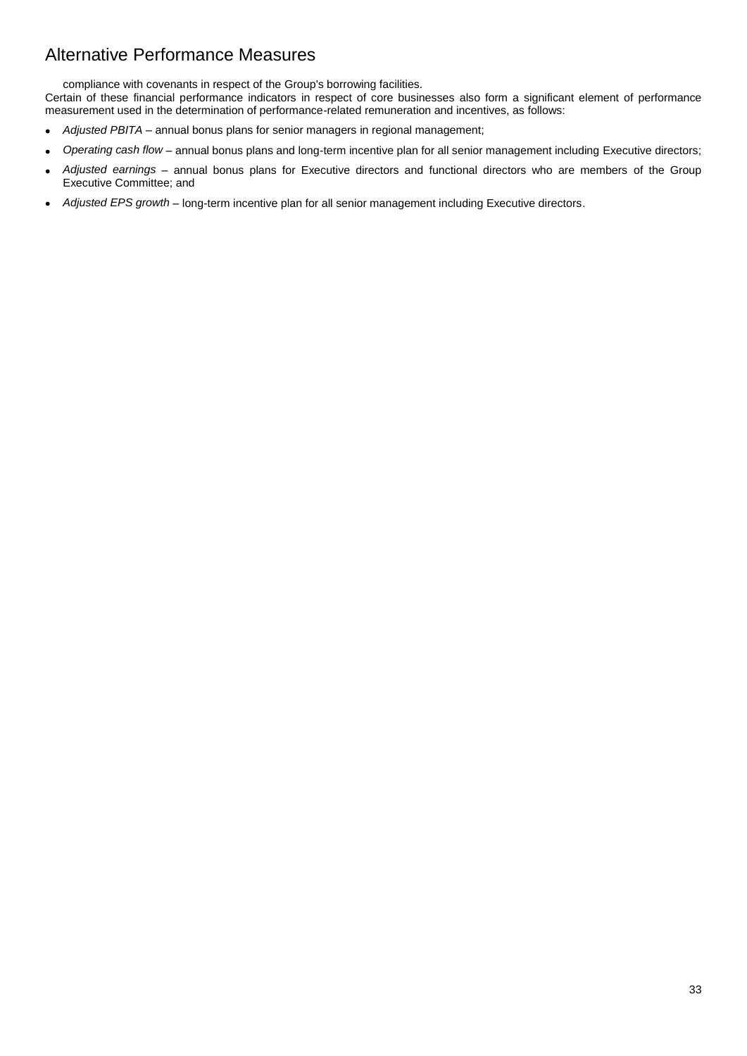compliance with covenants in respect of the Group's borrowing facilities.

Certain of these financial performance indicators in respect of core businesses also form a significant element of performance measurement used in the determination of performance-related remuneration and incentives, as follows:

- *Adjusted PBITA* annual bonus plans for senior managers in regional management;
- *Operating cash flow* annual bonus plans and long-term incentive plan for all senior management including Executive directors;
- *Adjusted earnings* annual bonus plans for Executive directors and functional directors who are members of the Group Executive Committee; and
- *Adjusted EPS growth* long-term incentive plan for all senior management including Executive directors.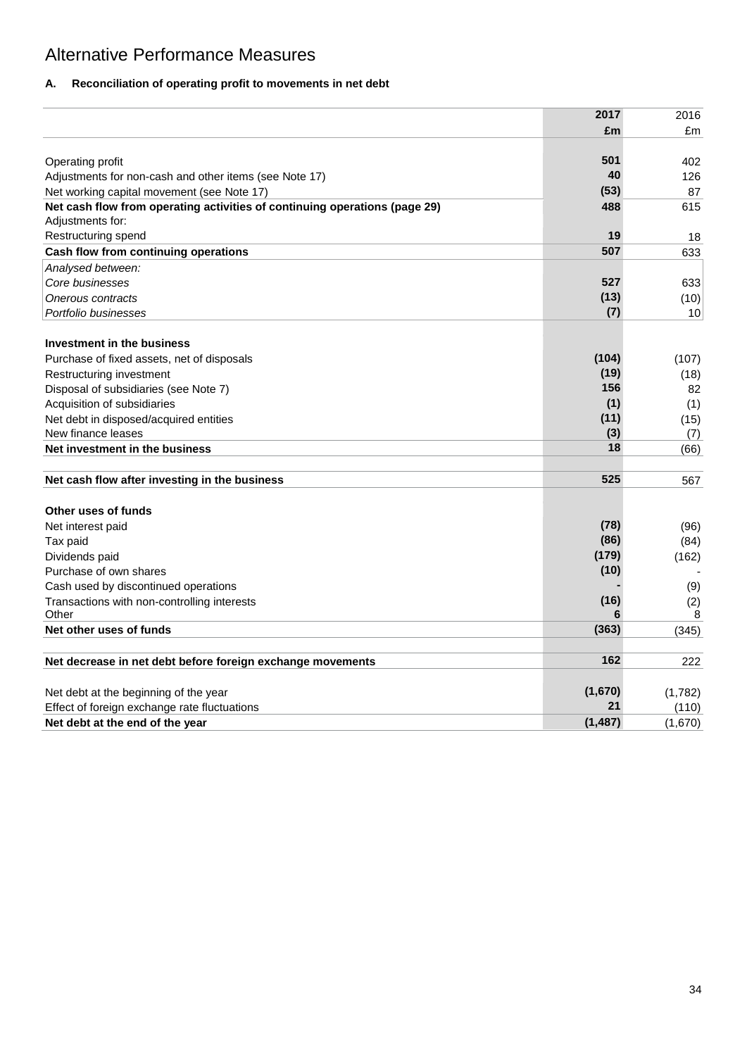# **A. Reconciliation of operating profit to movements in net debt**

|                                                                            | 2017       | 2016            |
|----------------------------------------------------------------------------|------------|-----------------|
|                                                                            | £m         | £m              |
|                                                                            |            |                 |
| Operating profit                                                           | 501        | 402             |
| Adjustments for non-cash and other items (see Note 17)                     | 40         | 126             |
| Net working capital movement (see Note 17)                                 | (53)       | 87              |
| Net cash flow from operating activities of continuing operations (page 29) | 488        | 615             |
| Adjustments for:                                                           |            |                 |
| Restructuring spend                                                        | 19         | 18              |
| Cash flow from continuing operations                                       | 507        | 633             |
| Analysed between:                                                          |            |                 |
| Core businesses                                                            | 527        | 633             |
| Onerous contracts                                                          | (13)       | (10)            |
| Portfolio businesses                                                       | (7)        | 10 <sup>1</sup> |
|                                                                            |            |                 |
| Investment in the business                                                 |            |                 |
| Purchase of fixed assets, net of disposals                                 | (104)      | (107)           |
| Restructuring investment                                                   | (19)       | (18)            |
| Disposal of subsidiaries (see Note 7)                                      | 156        | 82              |
| Acquisition of subsidiaries                                                | (1)        | (1)             |
| Net debt in disposed/acquired entities                                     | (11)       | (15)            |
| New finance leases                                                         | (3)        | (7)             |
| Net investment in the business                                             | 18         | (66)            |
|                                                                            |            |                 |
| Net cash flow after investing in the business                              | 525        | 567             |
|                                                                            |            |                 |
| Other uses of funds                                                        |            |                 |
| Net interest paid                                                          | (78)       | (96)            |
| Tax paid                                                                   | (86)       | (84)            |
| Dividends paid                                                             | (179)      | (162)           |
| Purchase of own shares                                                     | (10)       |                 |
| Cash used by discontinued operations                                       |            | (9)             |
| Transactions with non-controlling interests                                | (16)       | (2)             |
| Other                                                                      | 6<br>(363) | 8               |
| Net other uses of funds                                                    |            | (345)           |
| Net decrease in net debt before foreign exchange movements                 | 162        | 222             |
|                                                                            |            |                 |
| Net debt at the beginning of the year                                      | (1,670)    | (1,782)         |
| Effect of foreign exchange rate fluctuations                               | 21         | (110)           |
| Net debt at the end of the year                                            | (1, 487)   | (1,670)         |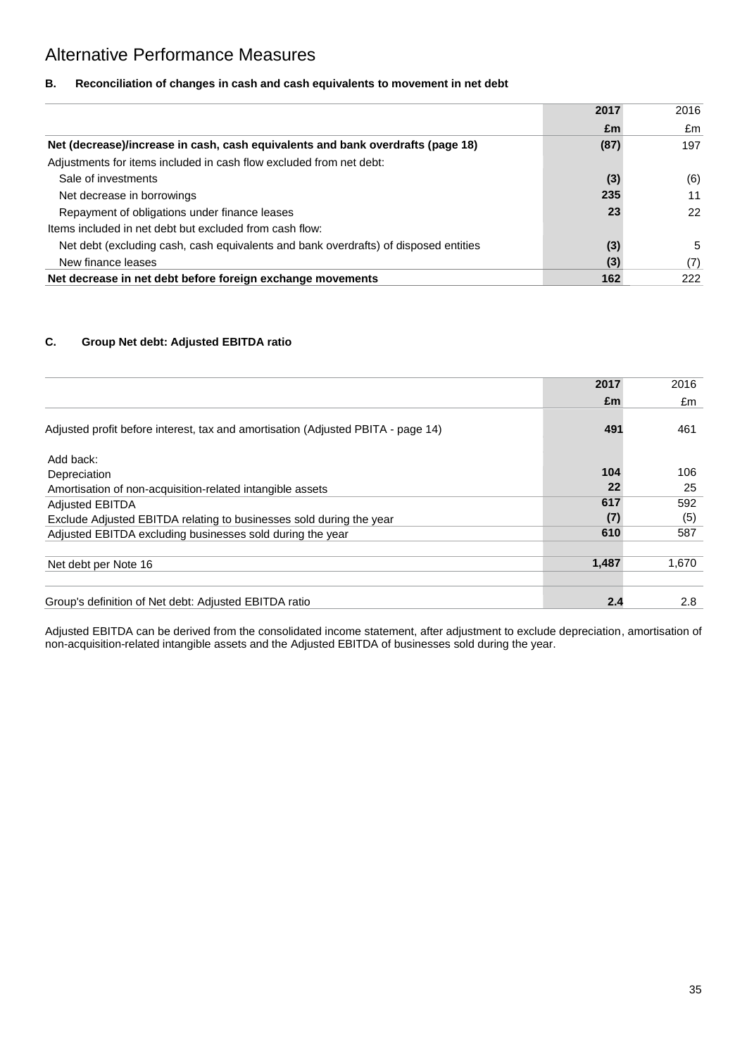# **B. Reconciliation of changes in cash and cash equivalents to movement in net debt**

|                                                                                      | 2017 | 2016 |
|--------------------------------------------------------------------------------------|------|------|
|                                                                                      | £m   | £m   |
| Net (decrease)/increase in cash, cash equivalents and bank overdrafts (page 18)      | (87) | 197  |
| Adjustments for items included in cash flow excluded from net debt:                  |      |      |
| Sale of investments                                                                  | (3)  | (6)  |
| Net decrease in borrowings                                                           | 235  | 11   |
| Repayment of obligations under finance leases                                        | 23   | 22   |
| Items included in net debt but excluded from cash flow:                              |      |      |
| Net debt (excluding cash, cash equivalents and bank overdrafts) of disposed entities | (3)  | 5    |
| New finance leases                                                                   | (3)  | (7)  |
| Net decrease in net debt before foreign exchange movements                           | 162  | 222  |

# **C. Group Net debt: Adjusted EBITDA ratio**

|                                                                                  | 2017  | 2016  |
|----------------------------------------------------------------------------------|-------|-------|
|                                                                                  | £m    | £m    |
| Adjusted profit before interest, tax and amortisation (Adjusted PBITA - page 14) | 491   | 461   |
| Add back:                                                                        |       |       |
| Depreciation                                                                     | 104   | 106   |
| Amortisation of non-acquisition-related intangible assets                        | 22    | 25    |
| <b>Adjusted EBITDA</b>                                                           | 617   | 592   |
| Exclude Adjusted EBITDA relating to businesses sold during the year              | (7)   | (5)   |
| Adjusted EBITDA excluding businesses sold during the year                        | 610   | 587   |
|                                                                                  |       |       |
| Net debt per Note 16                                                             | 1,487 | 1,670 |
|                                                                                  |       |       |
| Group's definition of Net debt: Adjusted EBITDA ratio                            | 2.4   | 2.8   |

Adjusted EBITDA can be derived from the consolidated income statement, after adjustment to exclude depreciation, amortisation of non-acquisition-related intangible assets and the Adjusted EBITDA of businesses sold during the year.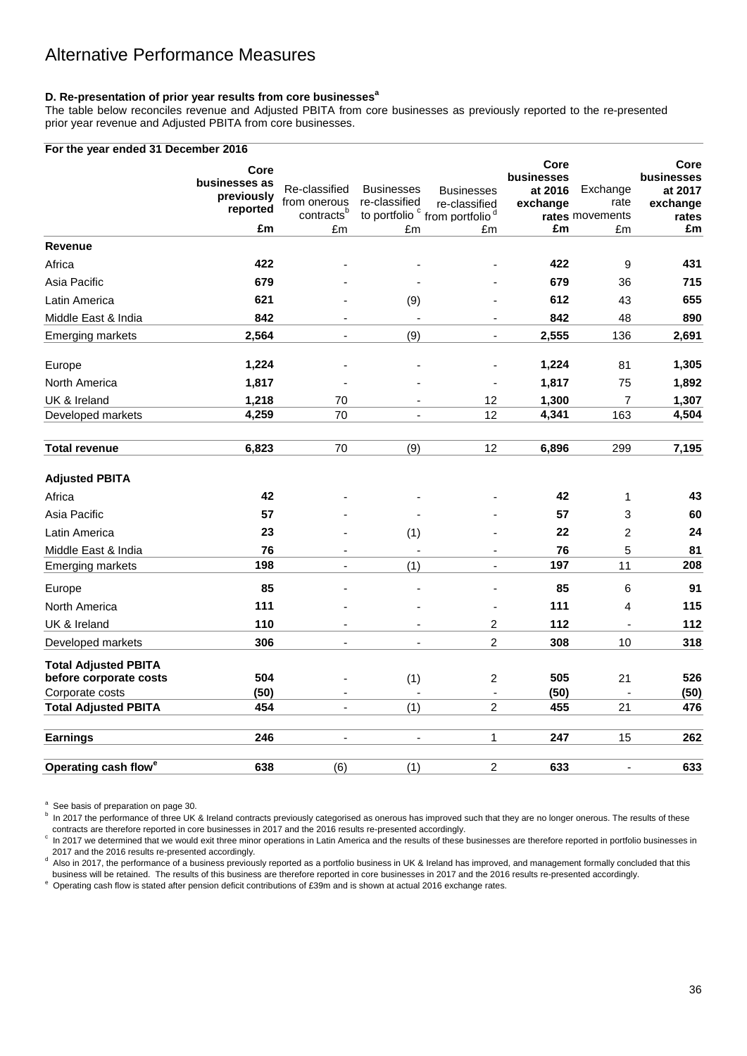# **D. Re-presentation of prior year results from core businesses<sup>a</sup>**

The table below reconciles revenue and Adjusted PBITA from core businesses as previously reported to the re-presented prior year revenue and Adjusted PBITA from core businesses.

### **For the year ended 31 December 2016**

|                                  | Core                   |                          |                          |                                                       | Core<br>businesses |                 | Core<br>businesses |
|----------------------------------|------------------------|--------------------------|--------------------------|-------------------------------------------------------|--------------------|-----------------|--------------------|
|                                  | businesses as          | Re-classified            | <b>Businesses</b>        | <b>Businesses</b>                                     | at 2016            | Exchange        | at 2017            |
|                                  | previously<br>reported | from onerous             | re-classified            | re-classified                                         | exchange           | rate            | exchange           |
|                                  |                        | contracts <sup>b</sup>   |                          | to portfolio <sup>c</sup> from portfolio <sup>d</sup> |                    | rates movements | rates              |
|                                  | £m                     | £m                       | £m                       | £m                                                    | £m                 | £m              | £m                 |
| <b>Revenue</b>                   |                        |                          |                          |                                                       |                    |                 |                    |
| Africa                           | 422                    |                          |                          |                                                       | 422                | 9               | 431                |
| Asia Pacific                     | 679                    |                          |                          |                                                       | 679                | 36              | 715                |
| Latin America                    | 621                    |                          | (9)                      |                                                       | 612                | 43              | 655                |
| Middle East & India              | 842                    | $\overline{\phantom{0}}$ | $\blacksquare$           | $\blacksquare$                                        | 842                | 48              | 890                |
| <b>Emerging markets</b>          | 2,564                  | $\overline{\phantom{0}}$ | (9)                      | $\blacksquare$                                        | 2,555              | 136             | 2,691              |
| Europe                           | 1,224                  |                          |                          |                                                       | 1,224              | 81              | 1,305              |
| North America                    | 1,817                  |                          |                          | $\blacksquare$                                        | 1,817              | 75              | 1,892              |
| UK & Ireland                     | 1,218                  | 70                       |                          | 12                                                    | 1,300              | $\overline{7}$  | 1,307              |
| Developed markets                | 4,259                  | 70                       | ÷,                       | 12                                                    | 4,341              | 163             | 4,504              |
| <b>Total revenue</b>             | 6,823                  | 70                       | (9)                      | 12                                                    | 6,896              | 299             | 7,195              |
| <b>Adjusted PBITA</b>            |                        |                          |                          |                                                       |                    |                 |                    |
| Africa                           | 42                     |                          |                          |                                                       | 42                 | 1               | 43                 |
| Asia Pacific                     | 57                     |                          |                          |                                                       | 57                 | 3               | 60                 |
| Latin America                    | 23                     |                          | (1)                      |                                                       | 22                 | $\overline{2}$  | 24                 |
| Middle East & India              | 76                     |                          |                          |                                                       | 76                 | 5               | 81                 |
| <b>Emerging markets</b>          | 198                    | $\frac{1}{2}$            | (1)                      | $\blacksquare$                                        | 197                | 11              | 208                |
| Europe                           | 85                     |                          |                          | ÷,                                                    | 85                 | 6               | 91                 |
| North America                    | 111                    |                          |                          | $\blacksquare$                                        | 111                | 4               | 115                |
| UK & Ireland                     | 110                    |                          |                          | $\overline{\mathbf{c}}$                               | 112                | ä,              | 112                |
| Developed markets                | 306                    |                          |                          | $\overline{2}$                                        | 308                | 10              | 318                |
| <b>Total Adjusted PBITA</b>      |                        |                          |                          |                                                       |                    |                 |                    |
| before corporate costs           | 504                    |                          | (1)                      | $\overline{c}$                                        | 505                | 21              | 526                |
| Corporate costs                  | (50)                   |                          |                          | $\Box$                                                | (50)               |                 | (50)               |
| <b>Total Adjusted PBITA</b>      | 454                    | ÷.                       | (1)                      | $\overline{2}$                                        | 455                | 21              | 476                |
| <b>Earnings</b>                  | 246                    | $\blacksquare$           | $\overline{\phantom{a}}$ | $\mathbf{1}$                                          | 247                | 15              | 262                |
|                                  |                        |                          |                          |                                                       |                    |                 |                    |
| Operating cash flow <sup>e</sup> | 638                    | (6)                      | (1)                      | $\overline{\mathbf{c}}$                               | 633                |                 | 633                |

<sup>a</sup> See basis of preparation on page 30.

b In 2017 the performance of three UK & Ireland contracts previously categorised as onerous has improved such that they are no longer onerous. The results of these contracts are therefore reported in core businesses in 2017 and the 2016 results re-presented accordingly.

 $\degree$  In 2017 we determined that we would exit three minor operations in Latin America and the results of these businesses are therefore reported in portfolio businesses in 2017 and the 2016 results re-presented accordingly.

d Also in 2017, the performance of a business previously reported as a portfolio business in UK & Ireland has improved, and management formally concluded that this business will be retained. The results of this business are therefore reported in core businesses in 2017 and the 2016 results re-presented accordingly.